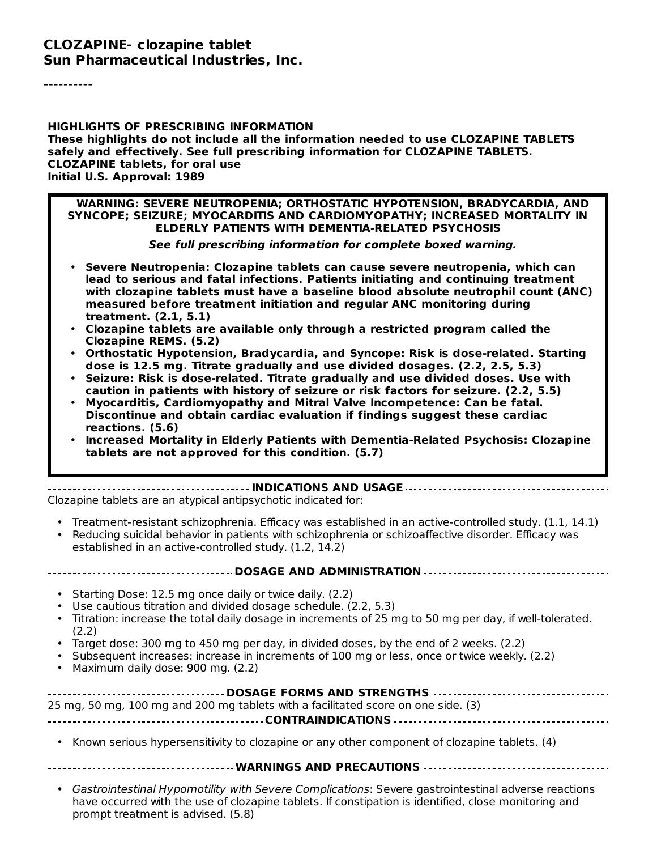#### **CLOZAPINE- clozapine tablet Sun Pharmaceutical Industries, Inc.**

----------

#### **HIGHLIGHTS OF PRESCRIBING INFORMATION These highlights do not include all the information needed to use CLOZAPINE TABLETS safely and effectively. See full prescribing information for CLOZAPINE TABLETS. CLOZAPINE tablets, for oral use Initial U.S. Approval: 1989**

#### **WARNING: SEVERE NEUTROPENIA; ORTHOSTATIC HYPOTENSION, BRADYCARDIA, AND SYNCOPE; SEIZURE; MYOCARDITIS AND CARDIOMYOPATHY; INCREASED MORTALITY IN ELDERLY PATIENTS WITH DEMENTIA-RELATED PSYCHOSIS**

**See full prescribing information for complete boxed warning.**

- **Severe Neutropenia: Clozapine tablets can cause severe neutropenia, which can lead to serious and fatal infections. Patients initiating and continuing treatment with clozapine tablets must have a baseline blood absolute neutrophil count (ANC) measured before treatment initiation and regular ANC monitoring during treatment. (2.1, 5.1)**
- **Clozapine tablets are available only through a restricted program called the Clozapine REMS. (5.2)**
- **Orthostatic Hypotension, Bradycardia, and Syncope: Risk is dose-related. Starting dose is 12.5 mg. Titrate gradually and use divided dosages. (2.2, 2.5, 5.3)**
- **Seizure: Risk is dose-related. Titrate gradually and use divided doses. Use with caution in patients with history of seizure or risk factors for seizure. (2.2, 5.5)**
- **Myocarditis, Cardiomyopathy and Mitral Valve Incompetence: Can be fatal. Discontinue and obtain cardiac evaluation if findings suggest these cardiac reactions. (5.6)**
- **Increased Mortality in Elderly Patients with Dementia-Related Psychosis: Clozapine tablets are not approved for this condition. (5.7)**

#### **INDICATIONS AND USAGE**

Clozapine tablets are an atypical antipsychotic indicated for:

- Treatment-resistant schizophrenia. Efficacy was established in an active-controlled study. (1.1, 14.1)
- Reducing suicidal behavior in patients with schizophrenia or schizoaffective disorder. Efficacy was established in an active-controlled study. (1.2, 14.2)

# **DOSAGE AND ADMINISTRATION**

- Starting Dose: 12.5 mg once daily or twice daily. (2.2)
- Use cautious titration and divided dosage schedule. (2.2, 5.3)
- Titration: increase the total daily dosage in increments of 25 mg to 50 mg per day, if well-tolerated. (2.2)
- Target dose: 300 mg to 450 mg per day, in divided doses, by the end of 2 weeks. (2.2)
- Subsequent increases: increase in increments of 100 mg or less, once or twice weekly. (2.2)
- Maximum daily dose: 900 mg. (2.2)

| 25 mg, 50 mg, 100 mg and 200 mg tablets with a facilitated score on one side. (3) |
|-----------------------------------------------------------------------------------|
|                                                                                   |
|                                                                                   |

• Known serious hypersensitivity to clozapine or any other component of clozapine tablets. (4)

#### **WARNINGS AND PRECAUTIONS**

• Gastrointestinal Hypomotility with Severe Complications: Severe gastrointestinal adverse reactions have occurred with the use of clozapine tablets. If constipation is identified, close monitoring and prompt treatment is advised. (5.8)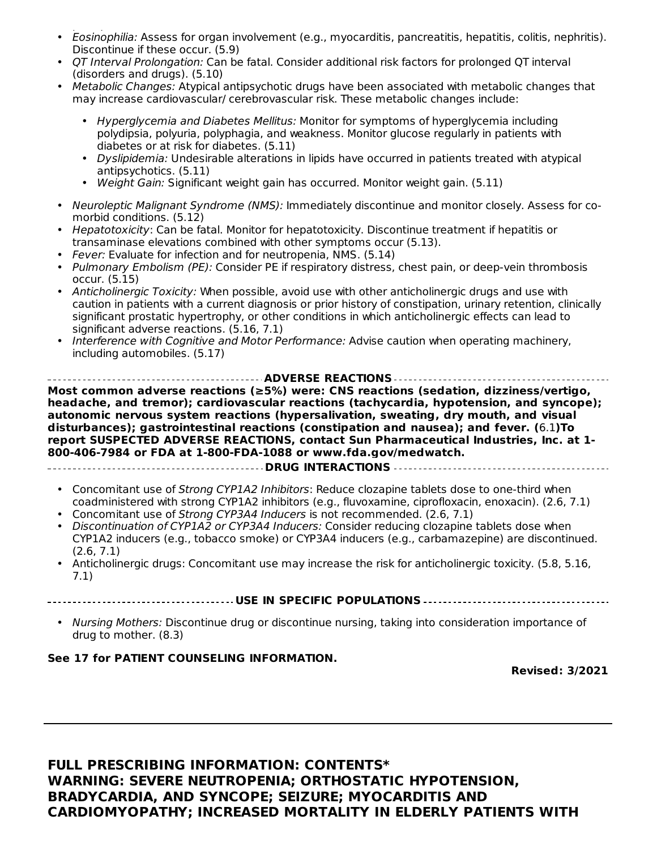- Eosinophilia: Assess for organ involvement (e.g., myocarditis, pancreatitis, hepatitis, colitis, nephritis). prompt treatment is advised. (5.8) Discontinue if these occur. (5.9)
- QT Interval Prolongation: Can be fatal. Consider additional risk factors for prolonged QT interval (disorders and drugs). (5.10)
- Metabolic Changes: Atypical antipsychotic drugs have been associated with metabolic changes that may increase cardiovascular/ cerebrovascular risk. These metabolic changes include:
	- Hyperglycemia and Diabetes Mellitus: Monitor for symptoms of hyperglycemia including polydipsia, polyuria, polyphagia, and weakness. Monitor glucose regularly in patients with diabetes or at risk for diabetes. (5.11)
	- Dyslipidemia: Undesirable alterations in lipids have occurred in patients treated with atypical antipsychotics. (5.11)
	- Weight Gain: Significant weight gain has occurred. Monitor weight gain. (5.11)
- Neuroleptic Malignant Syndrome (NMS): Immediately discontinue and monitor closely. Assess for comorbid conditions. (5.12)
- Hepatotoxicity: Can be fatal. Monitor for hepatotoxicity. Discontinue treatment if hepatitis or transaminase elevations combined with other symptoms occur (5.13).
- Fever: Evaluate for infection and for neutropenia, NMS. (5.14)
- Pulmonary Embolism (PE): Consider PE if respiratory distress, chest pain, or deep-vein thrombosis occur. (5.15)
- Anticholinergic Toxicity: When possible, avoid use with other anticholinergic drugs and use with caution in patients with a current diagnosis or prior history of constipation, urinary retention, clinically significant prostatic hypertrophy, or other conditions in which anticholinergic effects can lead to significant adverse reactions. (5.16, 7.1)
- Interference with Cognitive and Motor Performance: Advise caution when operating machinery, including automobiles. (5.17)

**ADVERSE REACTIONS Most common adverse reactions (≥5%) were: CNS reactions (sedation, dizziness/vertigo, headache, and tremor); cardiovascular reactions (tachycardia, hypotension, and syncope); autonomic nervous system reactions (hypersalivation, sweating, dry mouth, and visual disturbances); gastrointestinal reactions (constipation and nausea); and fever. (**6.1**)To report SUSPECTED ADVERSE REACTIONS, contact Sun Pharmaceutical Industries, Inc. at 1- 800-406-7984 or FDA at 1-800-FDA-1088 or www.fda.gov/medwatch. DRUG INTERACTIONS**

- Concomitant use of Strong CYP1A2 Inhibitors: Reduce clozapine tablets dose to one-third when coadministered with strong CYP1A2 inhibitors (e.g., fluvoxamine, ciprofloxacin, enoxacin). (2.6, 7.1)
- Concomitant use of Strong CYP3A4 Inducers is not recommended. (2.6, 7.1)
- Discontinuation of CYP1A2 or CYP3A4 Inducers: Consider reducing clozapine tablets dose when CYP1A2 inducers (e.g., tobacco smoke) or CYP3A4 inducers (e.g., carbamazepine) are discontinued. (2.6, 7.1)
- Anticholinergic drugs: Concomitant use may increase the risk for anticholinergic toxicity. (5.8, 5.16, 7.1)

**USE IN SPECIFIC POPULATIONS**

• Nursing Mothers: Discontinue drug or discontinue nursing, taking into consideration importance of drug to mother. (8.3)

#### **See 17 for PATIENT COUNSELING INFORMATION.**

**Revised: 3/2021**

**FULL PRESCRIBING INFORMATION: CONTENTS\* WARNING: SEVERE NEUTROPENIA; ORTHOSTATIC HYPOTENSION, BRADYCARDIA, AND SYNCOPE; SEIZURE; MYOCARDITIS AND CARDIOMYOPATHY; INCREASED MORTALITY IN ELDERLY PATIENTS WITH**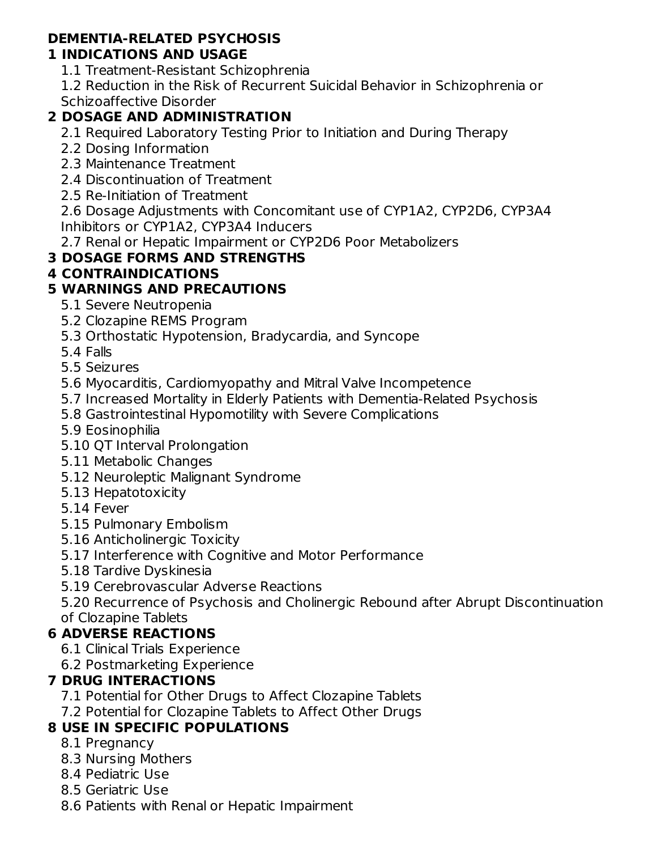## **DEMENTIA-RELATED PSYCHOSIS**

### **1 INDICATIONS AND USAGE**

1.1 Treatment-Resistant Schizophrenia

1.2 Reduction in the Risk of Recurrent Suicidal Behavior in Schizophrenia or Schizoaffective Disorder

### **2 DOSAGE AND ADMINISTRATION**

2.1 Required Laboratory Testing Prior to Initiation and During Therapy

- 2.2 Dosing Information
- 2.3 Maintenance Treatment
- 2.4 Discontinuation of Treatment
- 2.5 Re-Initiation of Treatment

2.6 Dosage Adjustments with Concomitant use of CYP1A2, CYP2D6, CYP3A4 Inhibitors or CYP1A2, CYP3A4 Inducers

2.7 Renal or Hepatic Impairment or CYP2D6 Poor Metabolizers

### **3 DOSAGE FORMS AND STRENGTHS**

#### **4 CONTRAINDICATIONS**

### **5 WARNINGS AND PRECAUTIONS**

- 5.1 Severe Neutropenia
- 5.2 Clozapine REMS Program
- 5.3 Orthostatic Hypotension, Bradycardia, and Syncope
- 5.4 Falls
- 5.5 Seizures
- 5.6 Myocarditis, Cardiomyopathy and Mitral Valve Incompetence
- 5.7 Increased Mortality in Elderly Patients with Dementia-Related Psychosis
- 5.8 Gastrointestinal Hypomotility with Severe Complications
- 5.9 Eosinophilia
- 5.10 QT Interval Prolongation
- 5.11 Metabolic Changes
- 5.12 Neuroleptic Malignant Syndrome
- 5.13 Hepatotoxicity
- 5.14 Fever
- 5.15 Pulmonary Embolism
- 5.16 Anticholinergic Toxicity
- 5.17 Interference with Cognitive and Motor Performance
- 5.18 Tardive Dyskinesia
- 5.19 Cerebrovascular Adverse Reactions

5.20 Recurrence of Psychosis and Cholinergic Rebound after Abrupt Discontinuation of Clozapine Tablets

### **6 ADVERSE REACTIONS**

- 6.1 Clinical Trials Experience
- 6.2 Postmarketing Experience

### **7 DRUG INTERACTIONS**

- 7.1 Potential for Other Drugs to Affect Clozapine Tablets
- 7.2 Potential for Clozapine Tablets to Affect Other Drugs

## **8 USE IN SPECIFIC POPULATIONS**

- 8.1 Pregnancy
- 8.3 Nursing Mothers
- 8.4 Pediatric Use
- 8.5 Geriatric Use
- 8.6 Patients with Renal or Hepatic Impairment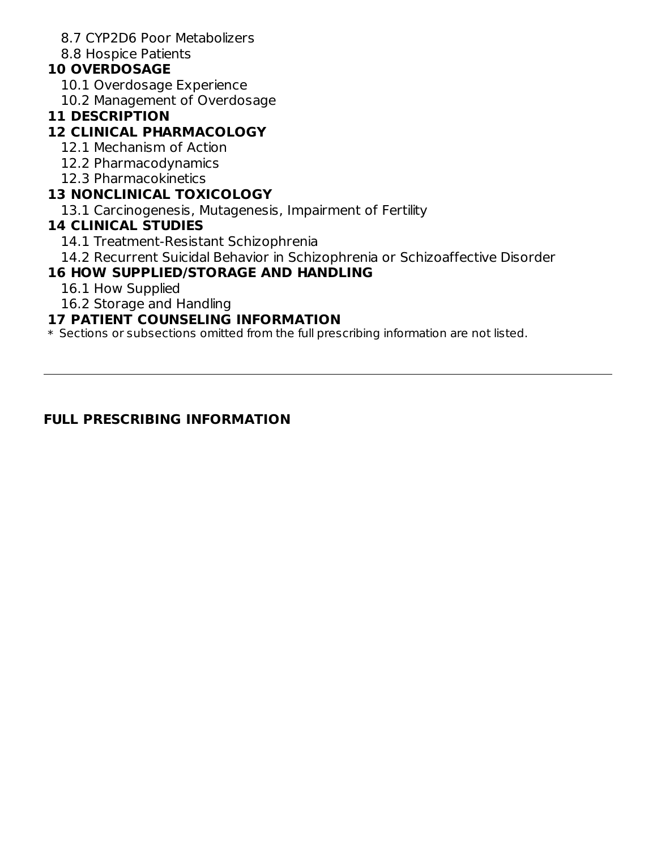8.7 CYP2D6 Poor Metabolizers

8.8 Hospice Patients

#### **10 OVERDOSAGE**

- 10.1 Overdosage Experience
- 10.2 Management of Overdosage

#### **11 DESCRIPTION**

#### **12 CLINICAL PHARMACOLOGY**

- 12.1 Mechanism of Action
- 12.2 Pharmacodynamics
- 12.3 Pharmacokinetics

#### **13 NONCLINICAL TOXICOLOGY**

13.1 Carcinogenesis, Mutagenesis, Impairment of Fertility

#### **14 CLINICAL STUDIES**

- 14.1 Treatment-Resistant Schizophrenia
- 14.2 Recurrent Suicidal Behavior in Schizophrenia or Schizoaffective Disorder

#### **16 HOW SUPPLIED/STORAGE AND HANDLING**

- 16.1 How Supplied
- 16.2 Storage and Handling

#### **17 PATIENT COUNSELING INFORMATION**

 $\ast$  Sections or subsections omitted from the full prescribing information are not listed.

#### **FULL PRESCRIBING INFORMATION**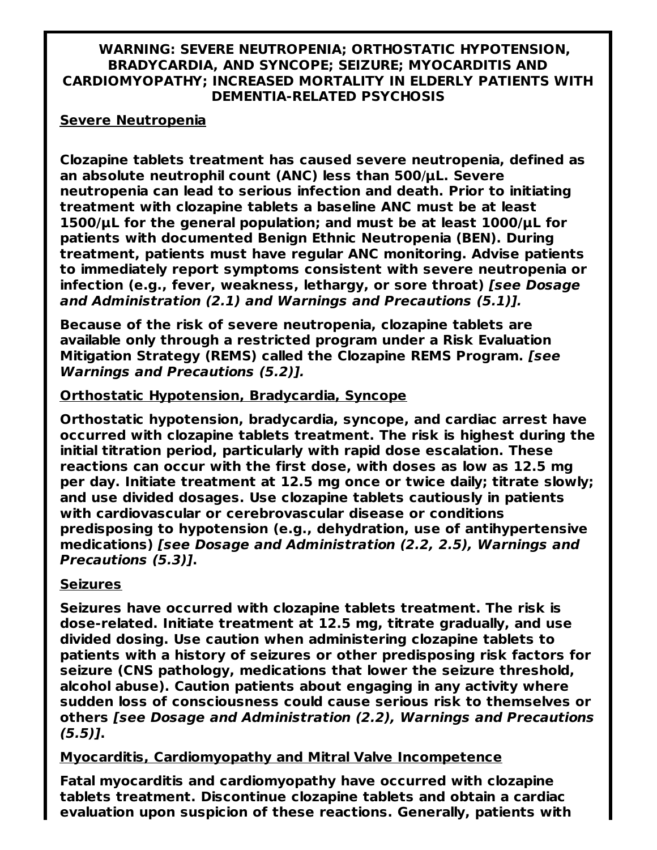#### **WARNING: SEVERE NEUTROPENIA; ORTHOSTATIC HYPOTENSION, BRADYCARDIA, AND SYNCOPE; SEIZURE; MYOCARDITIS AND CARDIOMYOPATHY; INCREASED MORTALITY IN ELDERLY PATIENTS WITH DEMENTIA-RELATED PSYCHOSIS**

#### **Severe Neutropenia**

**Clozapine tablets treatment has caused severe neutropenia, defined as an absolute neutrophil count (ANC) less than 500**/**μL. Severe neutropenia can lead to serious infection and death. Prior to initiating treatment with clozapine tablets a baseline ANC must be at least 1500/μL for the general population; and must be at least 1000/μL for patients with documented Benign Ethnic Neutropenia (BEN). During treatment, patients must have regular ANC monitoring. Advise patients to immediately report symptoms consistent with severe neutropenia or infection (e.g., fever, weakness, lethargy, or sore throat) [see Dosage and Administration (2.1) and Warnings and Precautions (5.1)].**

**Because of the risk of severe neutropenia, clozapine tablets are available only through a restricted program under a Risk Evaluation Mitigation Strategy (REMS) called the Clozapine REMS Program. [see Warnings and Precautions (5.2)].**

#### **Orthostatic Hypotension, Bradycardia, Syncope**

**Orthostatic hypotension, bradycardia, syncope, and cardiac arrest have occurred with clozapine tablets treatment. The risk is highest during the initial titration period, particularly with rapid dose escalation. These reactions can occur with the first dose, with doses as low as 12.5 mg per day. Initiate treatment at 12.5 mg once or twice daily; titrate slowly; and use divided dosages. Use clozapine tablets cautiously in patients with cardiovascular or cerebrovascular disease or conditions predisposing to hypotension (e.g., dehydration, use of antihypertensive medications) [see Dosage and Administration (2.2, 2.5), Warnings and Precautions (5.3)].**

#### **Seizures**

**Seizures have occurred with clozapine tablets treatment. The risk is dose-related. Initiate treatment at 12.5 mg, titrate gradually, and use divided dosing. Use caution when administering clozapine tablets to patients with a history of seizures or other predisposing risk factors for seizure (CNS pathology, medications that lower the seizure threshold, alcohol abuse). Caution patients about engaging in any activity where sudden loss of consciousness could cause serious risk to themselves or others [see Dosage and Administration (2.2), Warnings and Precautions (5.5)].**

#### **Myocarditis, Cardiomyopathy and Mitral Valve Incompetence**

**Fatal myocarditis and cardiomyopathy have occurred with clozapine tablets treatment. Discontinue clozapine tablets and obtain a cardiac evaluation upon suspicion of these reactions. Generally, patients with**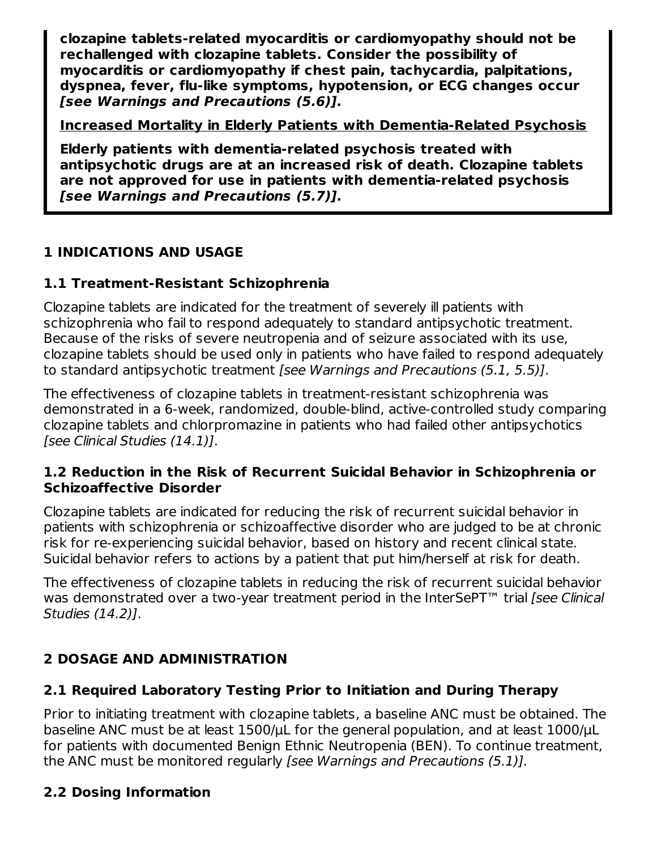**clozapine tablets-related myocarditis or cardiomyopathy should not be rechallenged with clozapine tablets. Consider the possibility of myocarditis or cardiomyopathy if chest pain, tachycardia, palpitations, dyspnea, fever, flu-like symptoms, hypotension, or ECG changes occur [see Warnings and Precautions (5.6)].**

**Increased Mortality in Elderly Patients with Dementia-Related Psychosis**

**Elderly patients with dementia-related psychosis treated with antipsychotic drugs are at an increased risk of death. Clozapine tablets are not approved for use in patients with dementia-related psychosis [see Warnings and Precautions (5.7)].**

## **1 INDICATIONS AND USAGE**

## **1.1 Treatment-Resistant Schizophrenia**

Clozapine tablets are indicated for the treatment of severely ill patients with schizophrenia who fail to respond adequately to standard antipsychotic treatment. Because of the risks of severe neutropenia and of seizure associated with its use, clozapine tablets should be used only in patients who have failed to respond adequately to standard antipsychotic treatment [see Warnings and Precautions (5.1, 5.5)].

The effectiveness of clozapine tablets in treatment-resistant schizophrenia was demonstrated in a 6-week, randomized, double-blind, active-controlled study comparing clozapine tablets and chlorpromazine in patients who had failed other antipsychotics [see Clinical Studies (14.1)].

#### **1.2 Reduction in the Risk of Recurrent Suicidal Behavior in Schizophrenia or Schizoaffective Disorder**

Clozapine tablets are indicated for reducing the risk of recurrent suicidal behavior in patients with schizophrenia or schizoaffective disorder who are judged to be at chronic risk for re-experiencing suicidal behavior, based on history and recent clinical state. Suicidal behavior refers to actions by a patient that put him/herself at risk for death.

The effectiveness of clozapine tablets in reducing the risk of recurrent suicidal behavior was demonstrated over a two-year treatment period in the InterSePT™ trial [see Clinical Studies (14.2)].

## **2 DOSAGE AND ADMINISTRATION**

## **2.1 Required Laboratory Testing Prior to Initiation and During Therapy**

Prior to initiating treatment with clozapine tablets, a baseline ANC must be obtained. The baseline ANC must be at least 1500/ $\mu$ L for the general population, and at least 1000/ $\mu$ L for patients with documented Benign Ethnic Neutropenia (BEN). To continue treatment, the ANC must be monitored regularly [see Warnings and Precautions (5.1)].

## **2.2 Dosing Information**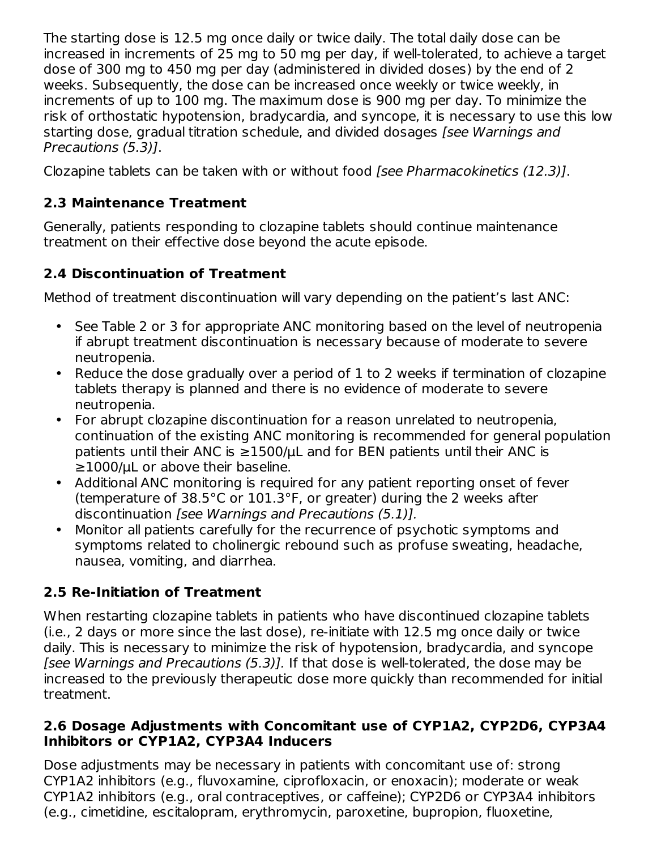The starting dose is 12.5 mg once daily or twice daily. The total daily dose can be increased in increments of 25 mg to 50 mg per day, if well-tolerated, to achieve a target dose of 300 mg to 450 mg per day (administered in divided doses) by the end of 2 weeks. Subsequently, the dose can be increased once weekly or twice weekly, in increments of up to 100 mg. The maximum dose is 900 mg per day. To minimize the risk of orthostatic hypotension, bradycardia, and syncope, it is necessary to use this low starting dose, gradual titration schedule, and divided dosages [see Warnings and Precautions (5.3)].

Clozapine tablets can be taken with or without food [see Pharmacokinetics (12.3)].

## **2.3 Maintenance Treatment**

Generally, patients responding to clozapine tablets should continue maintenance treatment on their effective dose beyond the acute episode.

## **2.4 Discontinuation of Treatment**

Method of treatment discontinuation will vary depending on the patient's last ANC:

- See Table 2 or 3 for appropriate ANC monitoring based on the level of neutropenia if abrupt treatment discontinuation is necessary because of moderate to severe neutropenia.
- Reduce the dose gradually over a period of 1 to 2 weeks if termination of clozapine tablets therapy is planned and there is no evidence of moderate to severe neutropenia.
- $\bullet$ For abrupt clozapine discontinuation for a reason unrelated to neutropenia, continuation of the existing ANC monitoring is recommended for general population patients until their ANC is  $\geq$ 1500/uL and for BEN patients until their ANC is ≥1000/μL or above their baseline.
- Additional ANC monitoring is required for any patient reporting onset of fever (temperature of 38.5°C or 101.3°F, or greater) during the 2 weeks after discontinuation [see Warnings and Precautions (5.1)].
- Monitor all patients carefully for the recurrence of psychotic symptoms and symptoms related to cholinergic rebound such as profuse sweating, headache, nausea, vomiting, and diarrhea.

## **2.5 Re-Initiation of Treatment**

When restarting clozapine tablets in patients who have discontinued clozapine tablets (i.e., 2 days or more since the last dose), re-initiate with 12.5 mg once daily or twice daily. This is necessary to minimize the risk of hypotension, bradycardia, and syncope [see Warnings and Precautions (5.3)]. If that dose is well-tolerated, the dose may be increased to the previously therapeutic dose more quickly than recommended for initial treatment.

#### **2.6 Dosage Adjustments with Concomitant use of CYP1A2, CYP2D6, CYP3A4 Inhibitors or CYP1A2, CYP3A4 Inducers**

Dose adjustments may be necessary in patients with concomitant use of: strong CYP1A2 inhibitors (e.g., fluvoxamine, ciprofloxacin, or enoxacin); moderate or weak CYP1A2 inhibitors (e.g., oral contraceptives, or caffeine); CYP2D6 or CYP3A4 inhibitors (e.g., cimetidine, escitalopram, erythromycin, paroxetine, bupropion, fluoxetine,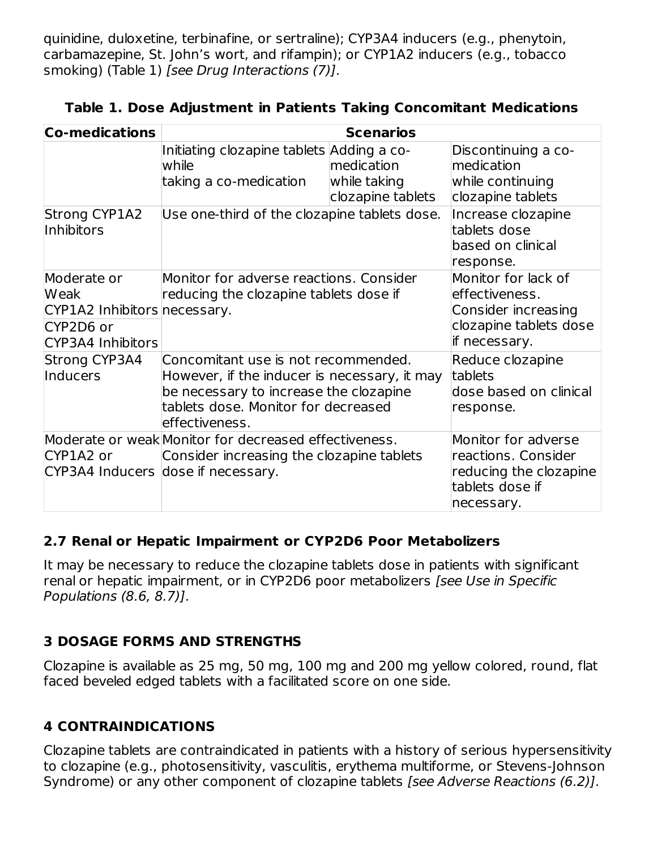quinidine, duloxetine, terbinafine, or sertraline); CYP3A4 inducers (e.g., phenytoin, carbamazepine, St. John's wort, and rifampin); or CYP1A2 inducers (e.g., tobacco smoking) (Table 1) [see Drug Interactions (7)].

| Table 1. Dose Adjustment in Patients Taking Concomitant Medications |  |  |  |  |
|---------------------------------------------------------------------|--|--|--|--|
|---------------------------------------------------------------------|--|--|--|--|

| <b>Co-medications</b>                                                                        | <b>Scenarios</b>                                                                                                                                                                       |                                                                                                         |                                                                                                       |  |
|----------------------------------------------------------------------------------------------|----------------------------------------------------------------------------------------------------------------------------------------------------------------------------------------|---------------------------------------------------------------------------------------------------------|-------------------------------------------------------------------------------------------------------|--|
|                                                                                              | Initiating clozapine tablets Adding a co-<br>while<br>taking a co-medication                                                                                                           | medication<br>while taking<br>clozapine tablets                                                         | Discontinuing a co-<br>medication<br>while continuing<br>clozapine tablets                            |  |
| <b>Strong CYP1A2</b><br>Inhibitors                                                           | Use one-third of the clozapine tablets dose.                                                                                                                                           |                                                                                                         | Increase clozapine<br>tablets dose<br>based on clinical<br>response.                                  |  |
| Moderate or<br><b>Weak</b><br>CYP1A2 Inhibitors necessary.<br>CYP2D6 or<br>CYP3A4 Inhibitors | Monitor for adverse reactions, Consider<br>reducing the clozapine tablets dose if                                                                                                      | Monitor for lack of<br>effectiveness.<br>Consider increasing<br>clozapine tablets dose<br>if necessary. |                                                                                                       |  |
| <b>Strong CYP3A4</b><br>Inducers                                                             | Concomitant use is not recommended.<br>However, if the inducer is necessary, it may<br>be necessary to increase the clozapine<br>tablets dose. Monitor for decreased<br>effectiveness. |                                                                                                         | Reduce clozapine<br>tablets<br>dose based on clinical<br>response.                                    |  |
| CYP1A2 or                                                                                    | Moderate or weak Monitor for decreased effectiveness.<br>Consider increasing the clozapine tablets<br>CYP3A4 Inducers dose if necessary.                                               |                                                                                                         | Monitor for adverse<br>reactions. Consider<br>reducing the clozapine<br>tablets dose if<br>necessary. |  |

#### **2.7 Renal or Hepatic Impairment or CYP2D6 Poor Metabolizers**

It may be necessary to reduce the clozapine tablets dose in patients with significant renal or hepatic impairment, or in CYP2D6 poor metabolizers [see Use in Specific Populations (8.6, 8.7)].

### **3 DOSAGE FORMS AND STRENGTHS**

Clozapine is available as 25 mg, 50 mg, 100 mg and 200 mg yellow colored, round, flat faced beveled edged tablets with a facilitated score on one side.

### **4 CONTRAINDICATIONS**

Clozapine tablets are contraindicated in patients with a history of serious hypersensitivity to clozapine (e.g., photosensitivity, vasculitis, erythema multiforme, or Stevens-Johnson Syndrome) or any other component of clozapine tablets [see Adverse Reactions (6.2)].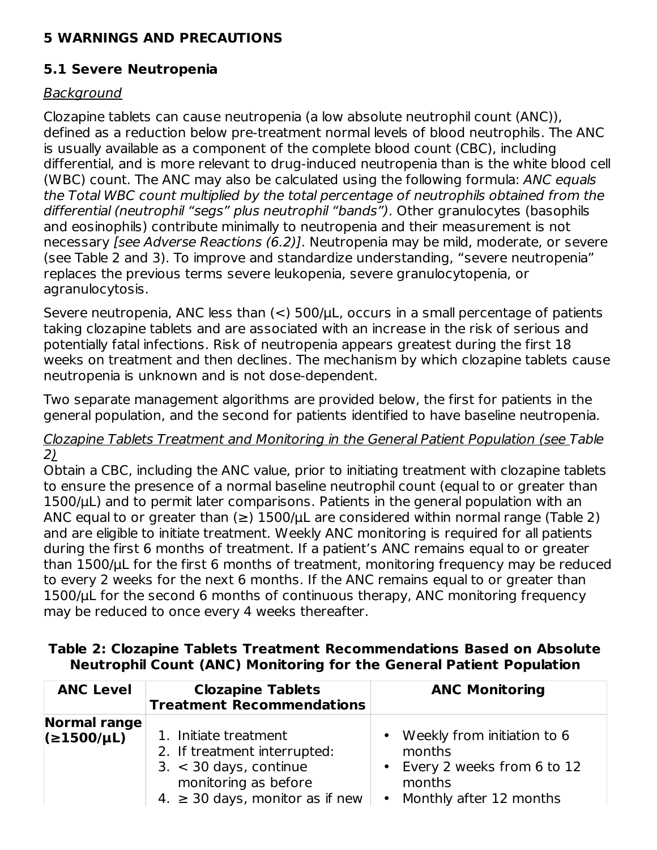### **5 WARNINGS AND PRECAUTIONS**

### **5.1 Severe Neutropenia**

### Background

Clozapine tablets can cause neutropenia (a low absolute neutrophil count (ANC)), defined as a reduction below pre-treatment normal levels of blood neutrophils. The ANC is usually available as a component of the complete blood count (CBC), including differential, and is more relevant to drug-induced neutropenia than is the white blood cell (WBC) count. The ANC may also be calculated using the following formula: ANC equals the Total WBC count multiplied by the total percentage of neutrophils obtained from the differential (neutrophil "segs" plus neutrophil "bands"). Other granulocytes (basophils and eosinophils) contribute minimally to neutropenia and their measurement is not necessary [see Adverse Reactions (6.2)]. Neutropenia may be mild, moderate, or severe (see Table 2 and 3). To improve and standardize understanding, "severe neutropenia" replaces the previous terms severe leukopenia, severe granulocytopenia, or agranulocytosis.

Severe neutropenia, ANC less than  $(<)$  500/ $\mu$ L, occurs in a small percentage of patients taking clozapine tablets and are associated with an increase in the risk of serious and potentially fatal infections. Risk of neutropenia appears greatest during the first 18 weeks on treatment and then declines. The mechanism by which clozapine tablets cause neutropenia is unknown and is not dose-dependent.

Two separate management algorithms are provided below, the first for patients in the general population, and the second for patients identified to have baseline neutropenia.

#### Clozapine Tablets Treatment and Monitoring in the General Patient Population (see Table 2)

Obtain a CBC, including the ANC value, prior to initiating treatment with clozapine tablets to ensure the presence of a normal baseline neutrophil count (equal to or greater than 1500/μL) and to permit later comparisons. Patients in the general population with an ANC equal to or greater than  $(\ge)$  1500/ $\mu$ L are considered within normal range (Table 2) and are eligible to initiate treatment. Weekly ANC monitoring is required for all patients during the first 6 months of treatment. If a patient's ANC remains equal to or greater than 1500/μL for the first 6 months of treatment, monitoring frequency may be reduced to every 2 weeks for the next 6 months. If the ANC remains equal to or greater than 1500/μL for the second 6 months of continuous therapy, ANC monitoring frequency may be reduced to once every 4 weeks thereafter.

| Table 2: Clozapine Tablets Treatment Recommendations Based on Absolute      |  |  |
|-----------------------------------------------------------------------------|--|--|
| <b>Neutrophil Count (ANC) Monitoring for the General Patient Population</b> |  |  |

| <b>ANC Level</b>                | <b>Clozapine Tablets</b><br><b>Treatment Recommendations</b>                                                                                      | <b>ANC Monitoring</b>                                                                                                     |
|---------------------------------|---------------------------------------------------------------------------------------------------------------------------------------------------|---------------------------------------------------------------------------------------------------------------------------|
| Normal range<br>$(21500/\mu L)$ | 1. Initiate treatment<br>2. If treatment interrupted:<br>$3. < 30$ days, continue<br>monitoring as before<br>4. $\geq$ 30 days, monitor as if new | Weekly from initiation to 6<br>$\bullet$<br>months<br>• Every 2 weeks from 6 to 12<br>months<br>• Monthly after 12 months |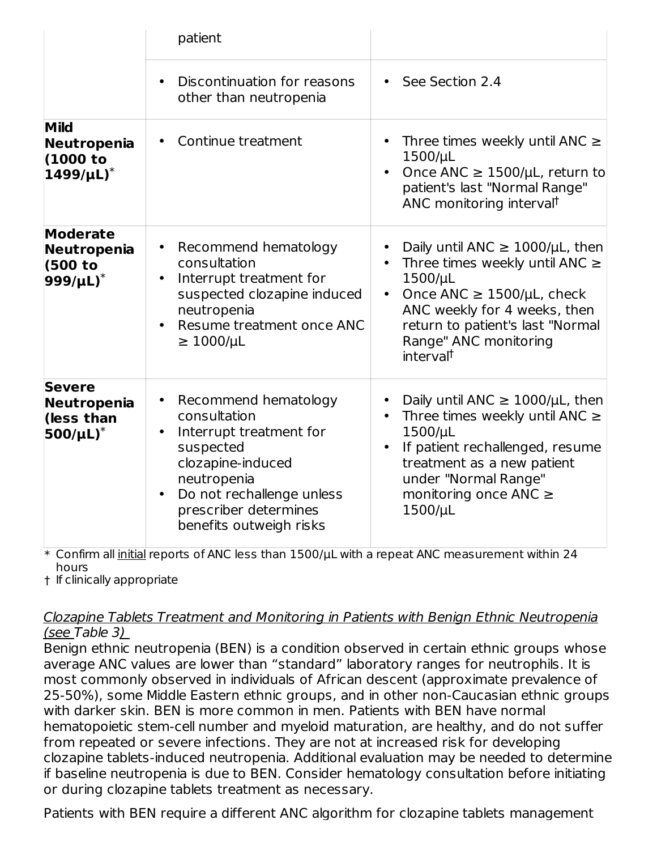|                                                                           | patient                                                                                                                                                                                                        |                                                                                                                                                                                                                                                            |
|---------------------------------------------------------------------------|----------------------------------------------------------------------------------------------------------------------------------------------------------------------------------------------------------------|------------------------------------------------------------------------------------------------------------------------------------------------------------------------------------------------------------------------------------------------------------|
|                                                                           | Discontinuation for reasons<br>other than neutropenia                                                                                                                                                          | • See Section 2.4                                                                                                                                                                                                                                          |
| <b>Mild</b><br>Neutropenia<br>(1000 to<br>$1499/\mu L$ <sup>*</sup>       | Continue treatment                                                                                                                                                                                             | Three times weekly until ANC $\geq$<br>$\bullet$<br>1500/µL<br>Once ANC $\geq$ 1500/µL, return to<br>patient's last "Normal Range"<br>ANC monitoring interval <sup>t</sup>                                                                                 |
| <b>Moderate</b><br><b>Neutropenia</b><br>(500 to<br>$999/µL$ <sup>*</sup> | Recommend hematology<br>consultation<br>Interrupt treatment for<br>suspected clozapine induced<br>neutropenia<br>Resume treatment once ANC<br>$\geq 1000/\mu L$                                                | Daily until ANC $\geq$ 1000/µL, then<br>Three times weekly until ANC $\ge$<br>1500/µL<br>Once ANC $\geq$ 1500/µL, check<br>$\bullet$<br>ANC weekly for 4 weeks, then<br>return to patient's last "Normal<br>Range" ANC monitoring<br>interval <sup>t</sup> |
| <b>Severe</b><br>Neutropenia<br>(less than<br>$500/\mu L$ <sup>*</sup>    | Recommend hematology<br>$\bullet$<br>consultation<br>Interrupt treatment for<br>suspected<br>clozapine-induced<br>neutropenia<br>Do not rechallenge unless<br>prescriber determines<br>benefits outweigh risks | Daily until ANC $\geq$ 1000/µL, then<br>Three times weekly until ANC $\ge$<br>$\bullet$<br>$1500/\mu L$<br>If patient rechallenged, resume<br>$\bullet$<br>treatment as a new patient<br>under "Normal Range"<br>monitoring once ANC $\geq$<br>1500/µL     |

\* Confirm all initial reports of ANC less than 1500/µL with a repeat ANC measurement within 24 hours

† If clinically appropriate

#### Clozapine Tablets Treatment and Monitoring in Patients with Benign Ethnic Neutropenia (see Table 3)

Benign ethnic neutropenia (BEN) is a condition observed in certain ethnic groups whose average ANC values are lower than "standard" laboratory ranges for neutrophils. It is most commonly observed in individuals of African descent (approximate prevalence of 25-50%), some Middle Eastern ethnic groups, and in other non-Caucasian ethnic groups with darker skin. BEN is more common in men. Patients with BEN have normal hematopoietic stem-cell number and myeloid maturation, are healthy, and do not suffer from repeated or severe infections. They are not at increased risk for developing clozapine tablets-induced neutropenia. Additional evaluation may be needed to determine if baseline neutropenia is due to BEN. Consider hematology consultation before initiating or during clozapine tablets treatment as necessary.

Patients with BEN require a different ANC algorithm for clozapine tablets management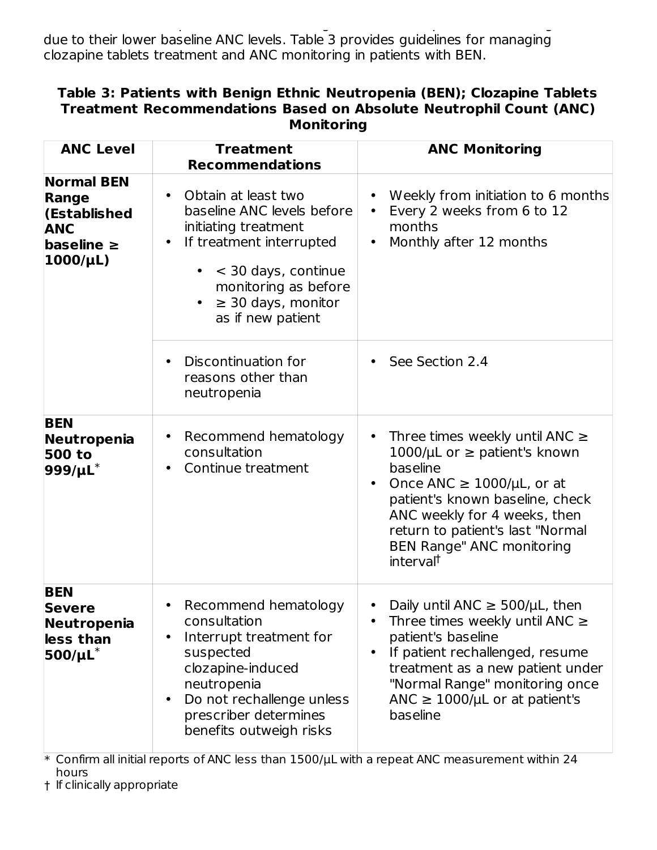Patients with BEN require a different ANC algorithm for clozapine tablets management due to their lower baseline ANC levels. Table 3 provides guidelines for managing clozapine tablets treatment and ANC monitoring in patients with BEN.

| Table 3: Patients with Benign Ethnic Neutropenia (BEN); Clozapine Tablets |
|---------------------------------------------------------------------------|
| Treatment Recommendations Based on Absolute Neutrophil Count (ANC)        |
| Monitoring                                                                |

| <b>ANC Level</b>                                                                            | <b>Treatment</b><br><b>Recommendations</b>                                                                                                                                                                                                  | <b>ANC Monitoring</b>                                                                                                                                                                                                                                                                                                     |
|---------------------------------------------------------------------------------------------|---------------------------------------------------------------------------------------------------------------------------------------------------------------------------------------------------------------------------------------------|---------------------------------------------------------------------------------------------------------------------------------------------------------------------------------------------------------------------------------------------------------------------------------------------------------------------------|
| <b>Normal BEN</b><br>Range<br>(Established<br><b>ANC</b><br>baseline $\geq$<br>$1000/\mu L$ | Obtain at least two<br>$\bullet$<br>baseline ANC levels before<br>initiating treatment<br>If treatment interrupted<br>$\bullet$<br>< 30 days, continue<br>monitoring as before<br>$\geq$ 30 days, monitor<br>$\bullet$<br>as if new patient | Weekly from initiation to 6 months<br>Every 2 weeks from 6 to 12<br>$\bullet$<br>months<br>Monthly after 12 months<br>$\bullet$                                                                                                                                                                                           |
|                                                                                             | Discontinuation for<br>$\bullet$<br>reasons other than<br>neutropenia                                                                                                                                                                       | See Section 2.4                                                                                                                                                                                                                                                                                                           |
| <b>BEN</b><br>Neutropenia<br><b>500 to</b><br>$999/ \mu L^*$                                | Recommend hematology<br>$\bullet$<br>consultation<br>Continue treatment<br>$\bullet$                                                                                                                                                        | Three times weekly until ANC $\geq$<br>$\bullet$<br>1000/ $\mu$ L or $\ge$ patient's known<br>baseline<br>Once ANC $\geq$ 1000/µL, or at<br>$\bullet$<br>patient's known baseline, check<br>ANC weekly for 4 weeks, then<br>return to patient's last "Normal<br><b>BEN Range" ANC monitoring</b><br>interval <sup>†</sup> |
| <b>BEN</b><br><b>Severe</b><br>Neutropenia<br>less than<br>$500/\mu L^*$                    | Recommend hematology<br>$\bullet$<br>consultation<br>Interrupt treatment for<br>$\bullet$<br>suspected<br>clozapine-induced<br>neutropenia<br>Do not rechallenge unless<br>$\bullet$<br>prescriber determines<br>benefits outweigh risks    | Daily until ANC $\geq$ 500/µL, then<br>Three times weekly until ANC $\geq$<br>patient's baseline<br>If patient rechallenged, resume<br>$\bullet$<br>treatment as a new patient under<br>"Normal Range" monitoring once<br>ANC $\geq$ 1000/µL or at patient's<br>baseline                                                  |

 $\ast$  Confirm all initial reports of ANC less than 1500/ $\mu$ L with a repeat ANC measurement within 24 hours

† If clinically appropriate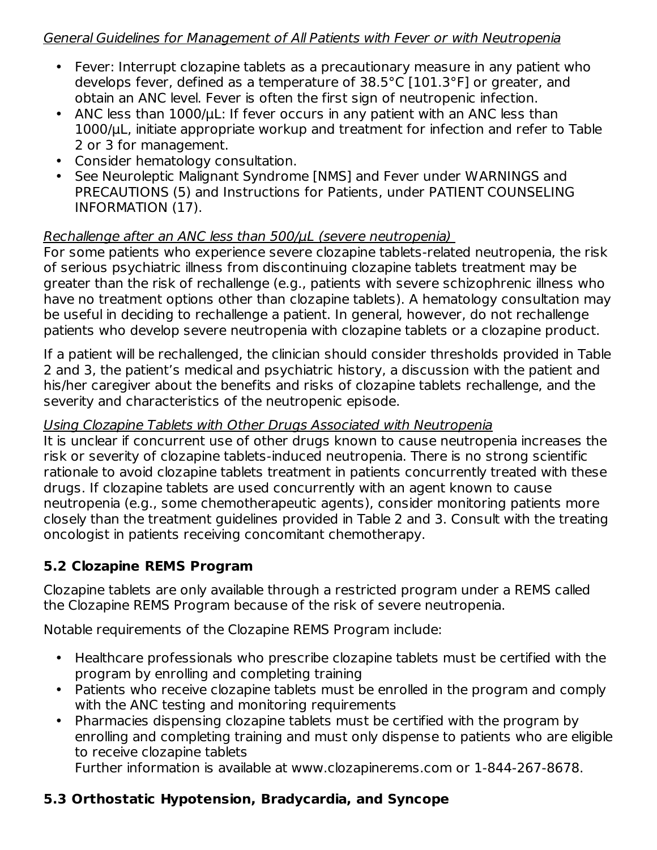#### General Guidelines for Management of All Patients with Fever or with Neutropenia

- Fever: Interrupt clozapine tablets as a precautionary measure in any patient who develops fever, defined as a temperature of 38.5°C [101.3°F] or greater, and obtain an ANC level. Fever is often the first sign of neutropenic infection.
- ANC less than 1000/μL: If fever occurs in any patient with an ANC less than 1000/μL, initiate appropriate workup and treatment for infection and refer to Table 2 or 3 for management.
- Consider hematology consultation.
- See Neuroleptic Malignant Syndrome [NMS] and Fever under WARNINGS and PRECAUTIONS (5) and Instructions for Patients, under PATIENT COUNSELING INFORMATION (17).

### Rechallenge after an ANC less than 500/μL (severe neutropenia)

For some patients who experience severe clozapine tablets-related neutropenia, the risk of serious psychiatric illness from discontinuing clozapine tablets treatment may be greater than the risk of rechallenge (e.g., patients with severe schizophrenic illness who have no treatment options other than clozapine tablets). A hematology consultation may be useful in deciding to rechallenge a patient. In general, however, do not rechallenge patients who develop severe neutropenia with clozapine tablets or a clozapine product.

If a patient will be rechallenged, the clinician should consider thresholds provided in Table 2 and 3, the patient's medical and psychiatric history, a discussion with the patient and his/her caregiver about the benefits and risks of clozapine tablets rechallenge, and the severity and characteristics of the neutropenic episode.

#### Using Clozapine Tablets with Other Drugs Associated with Neutropenia

It is unclear if concurrent use of other drugs known to cause neutropenia increases the risk or severity of clozapine tablets-induced neutropenia. There is no strong scientific rationale to avoid clozapine tablets treatment in patients concurrently treated with these drugs. If clozapine tablets are used concurrently with an agent known to cause neutropenia (e.g., some chemotherapeutic agents), consider monitoring patients more closely than the treatment guidelines provided in Table 2 and 3. Consult with the treating oncologist in patients receiving concomitant chemotherapy.

## **5.2 Clozapine REMS Program**

Clozapine tablets are only available through a restricted program under a REMS called the Clozapine REMS Program because of the risk of severe neutropenia.

Notable requirements of the Clozapine REMS Program include:

- Healthcare professionals who prescribe clozapine tablets must be certified with the program by enrolling and completing training
- Patients who receive clozapine tablets must be enrolled in the program and comply with the ANC testing and monitoring requirements
- Pharmacies dispensing clozapine tablets must be certified with the program by enrolling and completing training and must only dispense to patients who are eligible to receive clozapine tablets

Further information is available at www.clozapinerems.com or 1-844-267-8678.

## **5.3 Orthostatic Hypotension, Bradycardia, and Syncope**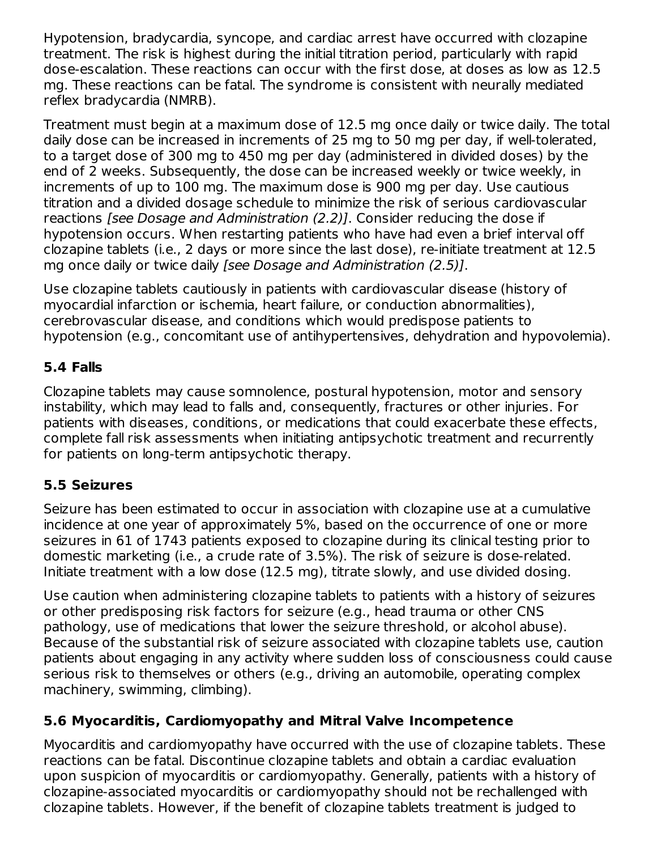Hypotension, bradycardia, syncope, and cardiac arrest have occurred with clozapine treatment. The risk is highest during the initial titration period, particularly with rapid dose-escalation. These reactions can occur with the first dose, at doses as low as 12.5 mg. These reactions can be fatal. The syndrome is consistent with neurally mediated reflex bradycardia (NMRB).

Treatment must begin at a maximum dose of 12.5 mg once daily or twice daily. The total daily dose can be increased in increments of 25 mg to 50 mg per day, if well-tolerated, to a target dose of 300 mg to 450 mg per day (administered in divided doses) by the end of 2 weeks. Subsequently, the dose can be increased weekly or twice weekly, in increments of up to 100 mg. The maximum dose is 900 mg per day. Use cautious titration and a divided dosage schedule to minimize the risk of serious cardiovascular reactions [see Dosage and Administration (2.2)]. Consider reducing the dose if hypotension occurs. When restarting patients who have had even a brief interval off clozapine tablets (i.e., 2 days or more since the last dose), re-initiate treatment at 12.5 mg once daily or twice daily [see Dosage and Administration (2.5)].

Use clozapine tablets cautiously in patients with cardiovascular disease (history of myocardial infarction or ischemia, heart failure, or conduction abnormalities), cerebrovascular disease, and conditions which would predispose patients to hypotension (e.g., concomitant use of antihypertensives, dehydration and hypovolemia).

## **5.4 Falls**

Clozapine tablets may cause somnolence, postural hypotension, motor and sensory instability, which may lead to falls and, consequently, fractures or other injuries. For patients with diseases, conditions, or medications that could exacerbate these effects, complete fall risk assessments when initiating antipsychotic treatment and recurrently for patients on long-term antipsychotic therapy.

## **5.5 Seizures**

Seizure has been estimated to occur in association with clozapine use at a cumulative incidence at one year of approximately 5%, based on the occurrence of one or more seizures in 61 of 1743 patients exposed to clozapine during its clinical testing prior to domestic marketing (i.e., a crude rate of 3.5%). The risk of seizure is dose-related. Initiate treatment with a low dose (12.5 mg), titrate slowly, and use divided dosing.

Use caution when administering clozapine tablets to patients with a history of seizures or other predisposing risk factors for seizure (e.g., head trauma or other CNS pathology, use of medications that lower the seizure threshold, or alcohol abuse). Because of the substantial risk of seizure associated with clozapine tablets use, caution patients about engaging in any activity where sudden loss of consciousness could cause serious risk to themselves or others (e.g., driving an automobile, operating complex machinery, swimming, climbing).

## **5.6 Myocarditis, Cardiomyopathy and Mitral Valve Incompetence**

Myocarditis and cardiomyopathy have occurred with the use of clozapine tablets. These reactions can be fatal. Discontinue clozapine tablets and obtain a cardiac evaluation upon suspicion of myocarditis or cardiomyopathy. Generally, patients with a history of clozapine-associated myocarditis or cardiomyopathy should not be rechallenged with clozapine tablets. However, if the benefit of clozapine tablets treatment is judged to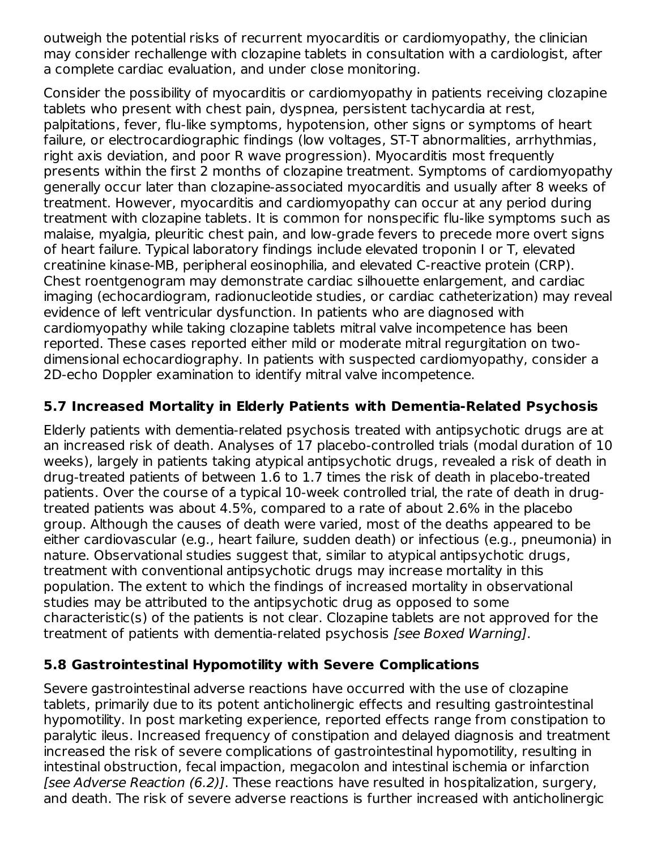outweigh the potential risks of recurrent myocarditis or cardiomyopathy, the clinician may consider rechallenge with clozapine tablets in consultation with a cardiologist, after a complete cardiac evaluation, and under close monitoring.

Consider the possibility of myocarditis or cardiomyopathy in patients receiving clozapine tablets who present with chest pain, dyspnea, persistent tachycardia at rest, palpitations, fever, flu-like symptoms, hypotension, other signs or symptoms of heart failure, or electrocardiographic findings (low voltages, ST-T abnormalities, arrhythmias, right axis deviation, and poor R wave progression). Myocarditis most frequently presents within the first 2 months of clozapine treatment. Symptoms of cardiomyopathy generally occur later than clozapine-associated myocarditis and usually after 8 weeks of treatment. However, myocarditis and cardiomyopathy can occur at any period during treatment with clozapine tablets. It is common for nonspecific flu-like symptoms such as malaise, myalgia, pleuritic chest pain, and low-grade fevers to precede more overt signs of heart failure. Typical laboratory findings include elevated troponin I or T, elevated creatinine kinase-MB, peripheral eosinophilia, and elevated C-reactive protein (CRP). Chest roentgenogram may demonstrate cardiac silhouette enlargement, and cardiac imaging (echocardiogram, radionucleotide studies, or cardiac catheterization) may reveal evidence of left ventricular dysfunction. In patients who are diagnosed with cardiomyopathy while taking clozapine tablets mitral valve incompetence has been reported. These cases reported either mild or moderate mitral regurgitation on twodimensional echocardiography. In patients with suspected cardiomyopathy, consider a 2D-echo Doppler examination to identify mitral valve incompetence.

### **5.7 Increased Mortality in Elderly Patients with Dementia-Related Psychosis**

Elderly patients with dementia-related psychosis treated with antipsychotic drugs are at an increased risk of death. Analyses of 17 placebo-controlled trials (modal duration of 10 weeks), largely in patients taking atypical antipsychotic drugs, revealed a risk of death in drug-treated patients of between 1.6 to 1.7 times the risk of death in placebo-treated patients. Over the course of a typical 10-week controlled trial, the rate of death in drugtreated patients was about 4.5%, compared to a rate of about 2.6% in the placebo group. Although the causes of death were varied, most of the deaths appeared to be either cardiovascular (e.g., heart failure, sudden death) or infectious (e.g., pneumonia) in nature. Observational studies suggest that, similar to atypical antipsychotic drugs, treatment with conventional antipsychotic drugs may increase mortality in this population. The extent to which the findings of increased mortality in observational studies may be attributed to the antipsychotic drug as opposed to some characteristic(s) of the patients is not clear. Clozapine tablets are not approved for the treatment of patients with dementia-related psychosis [see Boxed Warning].

#### **5.8 Gastrointestinal Hypomotility with Severe Complications**

Severe gastrointestinal adverse reactions have occurred with the use of clozapine tablets, primarily due to its potent anticholinergic effects and resulting gastrointestinal hypomotility. In post marketing experience, reported effects range from constipation to paralytic ileus. Increased frequency of constipation and delayed diagnosis and treatment increased the risk of severe complications of gastrointestinal hypomotility, resulting in intestinal obstruction, fecal impaction, megacolon and intestinal ischemia or infarction [see Adverse Reaction (6.2)]. These reactions have resulted in hospitalization, surgery, and death. The risk of severe adverse reactions is further increased with anticholinergic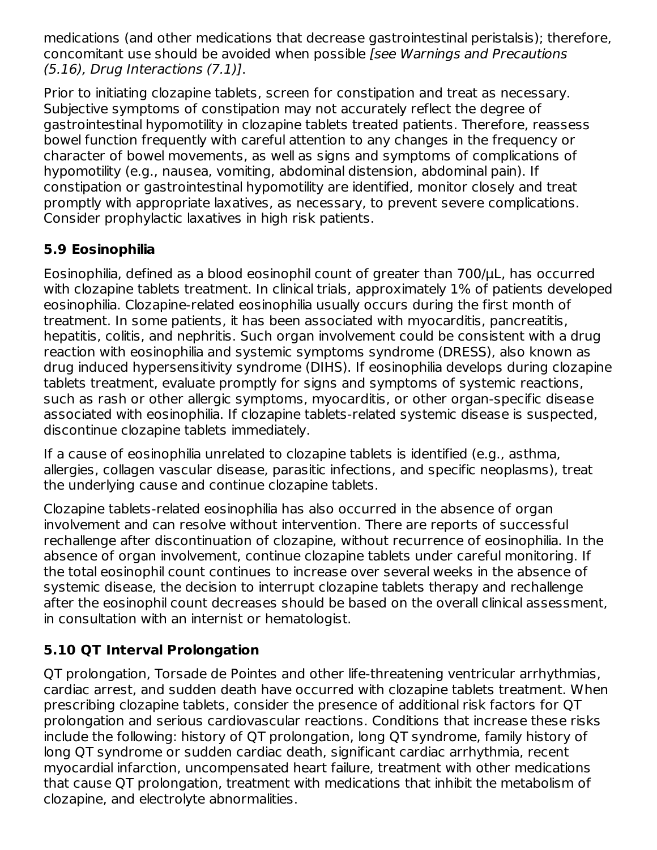medications (and other medications that decrease gastrointestinal peristalsis); therefore, concomitant use should be avoided when possible [see Warnings and Precautions (5.16), Drug Interactions (7.1)].

Prior to initiating clozapine tablets, screen for constipation and treat as necessary. Subjective symptoms of constipation may not accurately reflect the degree of gastrointestinal hypomotility in clozapine tablets treated patients. Therefore, reassess bowel function frequently with careful attention to any changes in the frequency or character of bowel movements, as well as signs and symptoms of complications of hypomotility (e.g., nausea, vomiting, abdominal distension, abdominal pain). If constipation or gastrointestinal hypomotility are identified, monitor closely and treat promptly with appropriate laxatives, as necessary, to prevent severe complications. Consider prophylactic laxatives in high risk patients.

## **5.9 Eosinophilia**

Eosinophilia, defined as a blood eosinophil count of greater than 700/μL, has occurred with clozapine tablets treatment. In clinical trials, approximately 1% of patients developed eosinophilia. Clozapine-related eosinophilia usually occurs during the first month of treatment. In some patients, it has been associated with myocarditis, pancreatitis, hepatitis, colitis, and nephritis. Such organ involvement could be consistent with a drug reaction with eosinophilia and systemic symptoms syndrome (DRESS), also known as drug induced hypersensitivity syndrome (DIHS). If eosinophilia develops during clozapine tablets treatment, evaluate promptly for signs and symptoms of systemic reactions, such as rash or other allergic symptoms, myocarditis, or other organ-specific disease associated with eosinophilia. If clozapine tablets-related systemic disease is suspected, discontinue clozapine tablets immediately.

If a cause of eosinophilia unrelated to clozapine tablets is identified (e.g., asthma, allergies, collagen vascular disease, parasitic infections, and specific neoplasms), treat the underlying cause and continue clozapine tablets.

Clozapine tablets-related eosinophilia has also occurred in the absence of organ involvement and can resolve without intervention. There are reports of successful rechallenge after discontinuation of clozapine, without recurrence of eosinophilia. In the absence of organ involvement, continue clozapine tablets under careful monitoring. If the total eosinophil count continues to increase over several weeks in the absence of systemic disease, the decision to interrupt clozapine tablets therapy and rechallenge after the eosinophil count decreases should be based on the overall clinical assessment, in consultation with an internist or hematologist.

## **5.10 QT Interval Prolongation**

QT prolongation, Torsade de Pointes and other life-threatening ventricular arrhythmias, cardiac arrest, and sudden death have occurred with clozapine tablets treatment. When prescribing clozapine tablets, consider the presence of additional risk factors for QT prolongation and serious cardiovascular reactions. Conditions that increase these risks include the following: history of QT prolongation, long QT syndrome, family history of long QT syndrome or sudden cardiac death, significant cardiac arrhythmia, recent myocardial infarction, uncompensated heart failure, treatment with other medications that cause QT prolongation, treatment with medications that inhibit the metabolism of clozapine, and electrolyte abnormalities.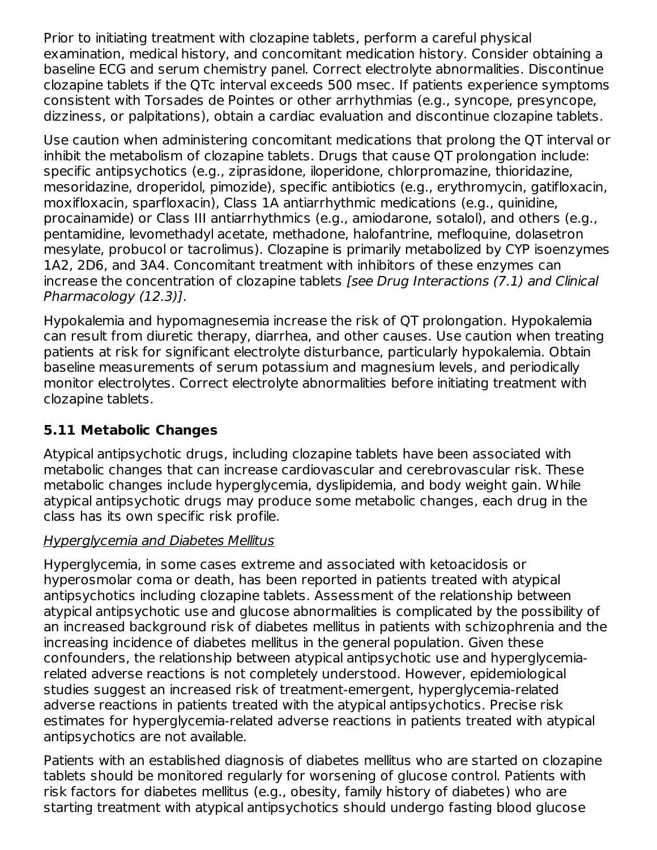Prior to initiating treatment with clozapine tablets, perform a careful physical examination, medical history, and concomitant medication history. Consider obtaining a baseline ECG and serum chemistry panel. Correct electrolyte abnormalities. Discontinue clozapine tablets if the QTc interval exceeds 500 msec. If patients experience symptoms consistent with Torsades de Pointes or other arrhythmias (e.g., syncope, presyncope, dizziness, or palpitations), obtain a cardiac evaluation and discontinue clozapine tablets.

Use caution when administering concomitant medications that prolong the QT interval or inhibit the metabolism of clozapine tablets. Drugs that cause QT prolongation include: specific antipsychotics (e.g., ziprasidone, iloperidone, chlorpromazine, thioridazine, mesoridazine, droperidol, pimozide), specific antibiotics (e.g., erythromycin, gatifloxacin, moxifloxacin, sparfloxacin), Class 1A antiarrhythmic medications (e.g., quinidine, procainamide) or Class III antiarrhythmics (e.g., amiodarone, sotalol), and others (e.g., pentamidine, levomethadyl acetate, methadone, halofantrine, mefloquine, dolasetron mesylate, probucol or tacrolimus). Clozapine is primarily metabolized by CYP isoenzymes 1A2, 2D6, and 3A4. Concomitant treatment with inhibitors of these enzymes can increase the concentration of clozapine tablets [see Drug Interactions (7.1) and Clinical Pharmacology (12.3)].

Hypokalemia and hypomagnesemia increase the risk of QT prolongation. Hypokalemia can result from diuretic therapy, diarrhea, and other causes. Use caution when treating patients at risk for significant electrolyte disturbance, particularly hypokalemia. Obtain baseline measurements of serum potassium and magnesium levels, and periodically monitor electrolytes. Correct electrolyte abnormalities before initiating treatment with clozapine tablets.

## **5.11 Metabolic Changes**

Atypical antipsychotic drugs, including clozapine tablets have been associated with metabolic changes that can increase cardiovascular and cerebrovascular risk. These metabolic changes include hyperglycemia, dyslipidemia, and body weight gain. While atypical antipsychotic drugs may produce some metabolic changes, each drug in the class has its own specific risk profile.

#### Hyperglycemia and Diabetes Mellitus

Hyperglycemia, in some cases extreme and associated with ketoacidosis or hyperosmolar coma or death, has been reported in patients treated with atypical antipsychotics including clozapine tablets. Assessment of the relationship between atypical antipsychotic use and glucose abnormalities is complicated by the possibility of an increased background risk of diabetes mellitus in patients with schizophrenia and the increasing incidence of diabetes mellitus in the general population. Given these confounders, the relationship between atypical antipsychotic use and hyperglycemiarelated adverse reactions is not completely understood. However, epidemiological studies suggest an increased risk of treatment-emergent, hyperglycemia-related adverse reactions in patients treated with the atypical antipsychotics. Precise risk estimates for hyperglycemia-related adverse reactions in patients treated with atypical antipsychotics are not available.

Patients with an established diagnosis of diabetes mellitus who are started on clozapine tablets should be monitored regularly for worsening of glucose control. Patients with risk factors for diabetes mellitus (e.g., obesity, family history of diabetes) who are starting treatment with atypical antipsychotics should undergo fasting blood glucose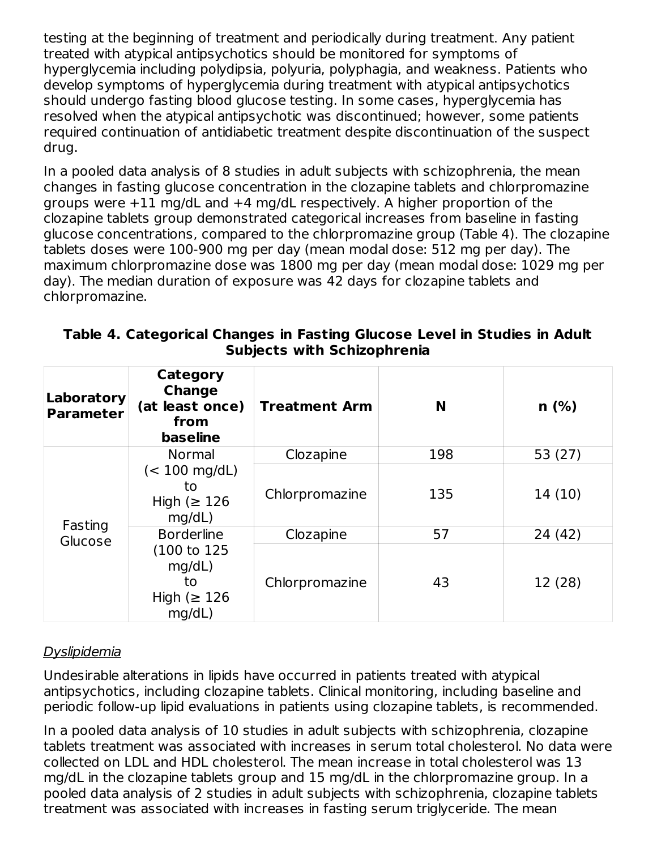testing at the beginning of treatment and periodically during treatment. Any patient treated with atypical antipsychotics should be monitored for symptoms of hyperglycemia including polydipsia, polyuria, polyphagia, and weakness. Patients who develop symptoms of hyperglycemia during treatment with atypical antipsychotics should undergo fasting blood glucose testing. In some cases, hyperglycemia has resolved when the atypical antipsychotic was discontinued; however, some patients required continuation of antidiabetic treatment despite discontinuation of the suspect drug.

In a pooled data analysis of 8 studies in adult subjects with schizophrenia, the mean changes in fasting glucose concentration in the clozapine tablets and chlorpromazine groups were +11 mg/dL and +4 mg/dL respectively. A higher proportion of the clozapine tablets group demonstrated categorical increases from baseline in fasting glucose concentrations, compared to the chlorpromazine group (Table 4). The clozapine tablets doses were 100-900 mg per day (mean modal dose: 512 mg per day). The maximum chlorpromazine dose was 1800 mg per day (mean modal dose: 1029 mg per day). The median duration of exposure was 42 days for clozapine tablets and chlorpromazine.

| Table 4. Categorical Changes in Fasting Glucose Level in Studies in Adult |  |
|---------------------------------------------------------------------------|--|
| <b>Subjects with Schizophrenia</b>                                        |  |

| Laboratory<br><b>Parameter</b> | Category<br><b>Change</b><br>(at least once)<br>from<br><b>baseline</b> | <b>Treatment Arm</b> | N   | n(%)      |
|--------------------------------|-------------------------------------------------------------------------|----------------------|-----|-----------|
|                                | Normal                                                                  | Clozapine            | 198 | 53 $(27)$ |
| Fasting<br>Glucose             | $(< 100 \text{ mg/dL})$<br>to<br>High ( $\geq 126$<br>mq/dL)            | Chlorpromazine       | 135 | 14(10)    |
|                                | <b>Borderline</b>                                                       | Clozapine            | 57  | 24 (42)   |
|                                | (100 to 125)<br>mq/dL)<br>to<br>High ( $\geq 126$<br>mq/dL)             | Chlorpromazine       | 43  | 12 (28)   |

## Dyslipidemia

Undesirable alterations in lipids have occurred in patients treated with atypical antipsychotics, including clozapine tablets. Clinical monitoring, including baseline and periodic follow-up lipid evaluations in patients using clozapine tablets, is recommended.

In a pooled data analysis of 10 studies in adult subjects with schizophrenia, clozapine tablets treatment was associated with increases in serum total cholesterol. No data were collected on LDL and HDL cholesterol. The mean increase in total cholesterol was 13 mg/dL in the clozapine tablets group and 15 mg/dL in the chlorpromazine group. In a pooled data analysis of 2 studies in adult subjects with schizophrenia, clozapine tablets treatment was associated with increases in fasting serum triglyceride. The mean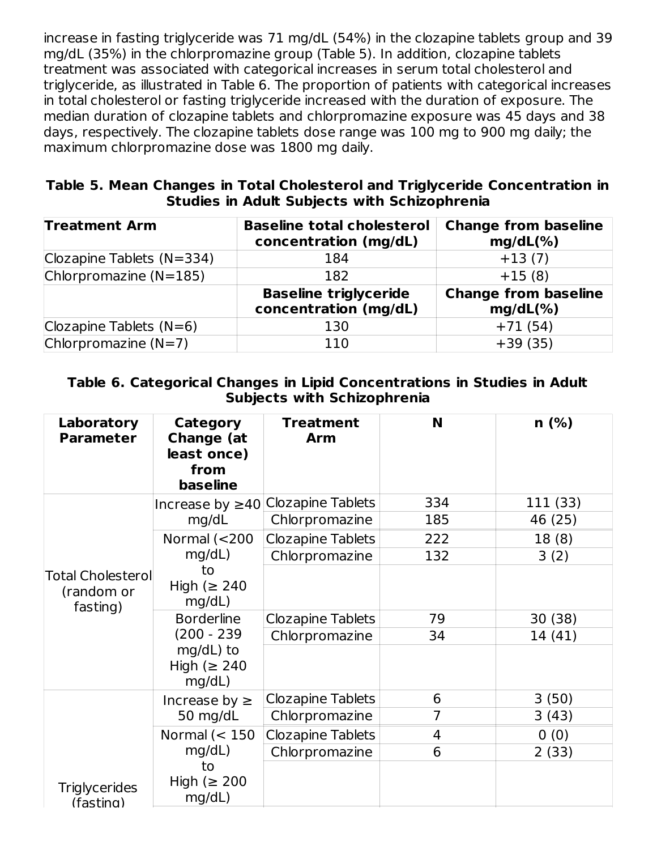increase in fasting triglyceride was 71 mg/dL (54%) in the clozapine tablets group and 39 mg/dL (35%) in the chlorpromazine group (Table 5). In addition, clozapine tablets treatment was associated with categorical increases in serum total cholesterol and triglyceride, as illustrated in Table 6. The proportion of patients with categorical increases in total cholesterol or fasting triglyceride increased with the duration of exposure. The median duration of clozapine tablets and chlorpromazine exposure was 45 days and 38 days, respectively. The clozapine tablets dose range was 100 mg to 900 mg daily; the maximum chlorpromazine dose was 1800 mg daily.

#### **Table 5. Mean Changes in Total Cholesterol and Triglyceride Concentration in Studies in Adult Subjects with Schizophrenia**

| <b>Treatment Arm</b>      | <b>Baseline total cholesterol</b><br>concentration (mg/dL) | <b>Change from baseline</b><br>$mg/dL(\% )$ |  |
|---------------------------|------------------------------------------------------------|---------------------------------------------|--|
| Clozapine Tablets (N=334) | 184                                                        | $+13(7)$                                    |  |
| Chlorpromazine $(N=185)$  | 182                                                        | $+15(8)$                                    |  |
|                           | <b>Baseline triglyceride</b><br>concentration (mg/dL)      | <b>Change from baseline</b><br>$mg/dL(\% )$ |  |
| Clozapine Tablets $(N=6)$ | 130                                                        | $+71(54)$                                   |  |
| Chlorpromazine $(N=7)$    | 110                                                        | $+39(35)$                                   |  |

#### **Table 6. Categorical Changes in Lipid Concentrations in Studies in Adult Subjects with Schizophrenia**

| Laboratory<br><b>Parameter</b>                     | <b>Category</b><br><b>Change (at</b><br>least once)<br>from<br><b>baseline</b> | <b>Treatment</b><br><b>Arm</b> | N              | $n$ (%)  |
|----------------------------------------------------|--------------------------------------------------------------------------------|--------------------------------|----------------|----------|
|                                                    | Increase by $\geq 40$                                                          | <b>Clozapine Tablets</b>       | 334            | 111 (33) |
|                                                    | mg/dL                                                                          | Chlorpromazine                 | 185            | 46 (25)  |
|                                                    | Normal $(<$ 200                                                                | <b>Clozapine Tablets</b>       | 222            | 18(8)    |
|                                                    | mg/dL)                                                                         | Chlorpromazine                 | 132            | 3(2)     |
| <b>Total Cholesterol</b><br>(random or<br>fasting) | to<br>High ( $\geq 240$<br>mg/dL)                                              |                                |                |          |
|                                                    | <b>Borderline</b>                                                              | <b>Clozapine Tablets</b>       | 79             | 30(38)   |
|                                                    | $(200 - 239)$                                                                  | Chlorpromazine                 | 34             | 14(41)   |
|                                                    | $mq/dL$ ) to<br>High ( $\geq 240$<br>mg/dL)                                    |                                |                |          |
|                                                    | Increase by $\geq$                                                             | <b>Clozapine Tablets</b>       | 6              | 3(50)    |
|                                                    | 50 mg/dL                                                                       | Chlorpromazine                 | $\overline{7}$ | 3(43)    |
|                                                    | Normal $(< 150$                                                                | <b>Clozapine Tablets</b>       | 4              | 0(0)     |
|                                                    | mg/dL)                                                                         | Chlorpromazine                 | 6              | 2(33)    |
| <b>Triglycerides</b><br>(fasting)                  | to<br>High ( $\geq 200$<br>mg/dL)                                              |                                |                |          |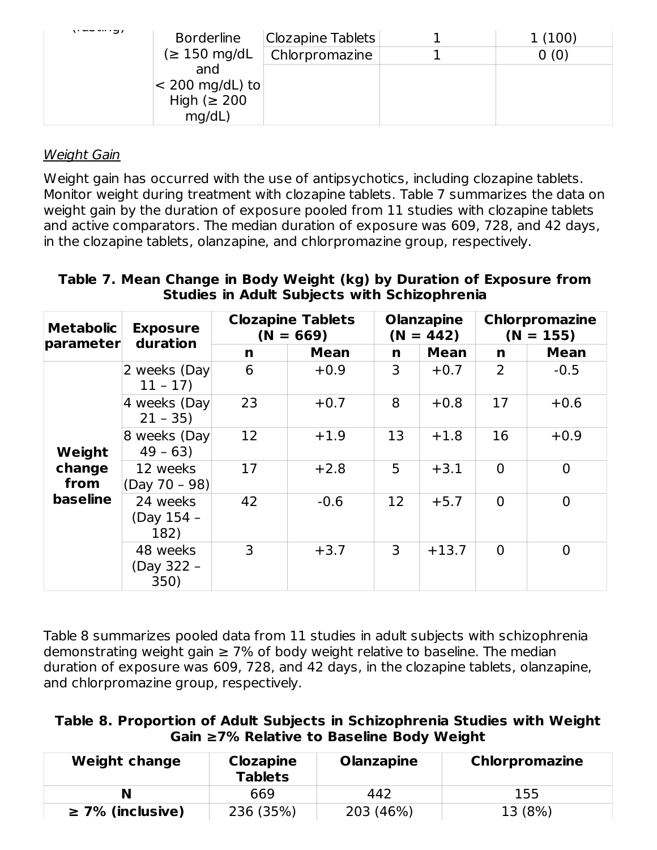| <b>Borderline</b>          | <b>Clozapine Tablets</b> | 1(100) |
|----------------------------|--------------------------|--------|
| $(\geq 150 \text{ mg/dL})$ | Chlorpromazine           | (0)    |
| and                        |                          |        |
| $ $ < 200 mg/dL) to        |                          |        |
| High ( $\geq 200$          |                          |        |
| mg/dL)                     |                          |        |

#### Weight Gain

Weight gain has occurred with the use of antipsychotics, including clozapine tablets. Monitor weight during treatment with clozapine tablets. Table 7 summarizes the data on weight gain by the duration of exposure pooled from 11 studies with clozapine tablets and active comparators. The median duration of exposure was 609, 728, and 42 days, in the clozapine tablets, olanzapine, and chlorpromazine group, respectively.

#### **Table 7. Mean Change in Body Weight (kg) by Duration of Exposure from Studies in Adult Subjects with Schizophrenia**

| <b>Metabolic</b>                            | <b>Exposure</b><br>duration    | <b>Clozapine Tablets</b><br>$(N = 669)$ |             | <b>Olanzapine</b><br>$(N = 442)$ |             | <b>Chlorpromazine</b><br>$(N = 155)$ |                |
|---------------------------------------------|--------------------------------|-----------------------------------------|-------------|----------------------------------|-------------|--------------------------------------|----------------|
| parameter                                   |                                | n                                       | <b>Mean</b> | n                                | <b>Mean</b> | n                                    | <b>Mean</b>    |
| Weight<br>change<br>from<br><b>baseline</b> | 2 weeks (Day<br>$11 - 17$      | 6                                       | $+0.9$      | 3                                | $+0.7$      | 2                                    | $-0.5$         |
|                                             | 4 weeks (Day<br>$21 - 35$      | 23                                      | $+0.7$      | 8                                | $+0.8$      | 17                                   | $+0.6$         |
|                                             | 8 weeks (Day<br>$49 - 63$      | 12                                      | $+1.9$      | 13                               | $+1.8$      | 16                                   | $+0.9$         |
|                                             | 12 weeks<br>(Day 70 - 98)      | 17                                      | $+2.8$      | 5                                | $+3.1$      | $\Omega$                             | $\Omega$       |
|                                             | 24 weeks<br>(Day 154 -<br>182) | 42                                      | $-0.6$      | 12                               | $+5.7$      | $\Omega$                             | $\overline{0}$ |
|                                             | 48 weeks<br>(Day 322 -<br>350) | 3                                       | $+3.7$      | 3                                | $+13.7$     | $\Omega$                             | $\Omega$       |

Table 8 summarizes pooled data from 11 studies in adult subjects with schizophrenia demonstrating weight gain  $\geq 7\%$  of body weight relative to baseline. The median duration of exposure was 609, 728, and 42 days, in the clozapine tablets, olanzapine, and chlorpromazine group, respectively.

|  |  | Table 8. Proportion of Adult Subjects in Schizophrenia Studies with Weight |  |  |
|--|--|----------------------------------------------------------------------------|--|--|
|  |  | Gain ≥7% Relative to Baseline Body Weight                                  |  |  |

| <b>Weight change</b>  | <b>Clozapine</b><br><b>Tablets</b> | <b>Olanzapine</b> | <b>Chlorpromazine</b> |
|-----------------------|------------------------------------|-------------------|-----------------------|
| N                     | 669                                | 442               | 155                   |
| $\geq$ 7% (inclusive) | 236 (35%)                          | 203 (46%)         | 13 (8%)               |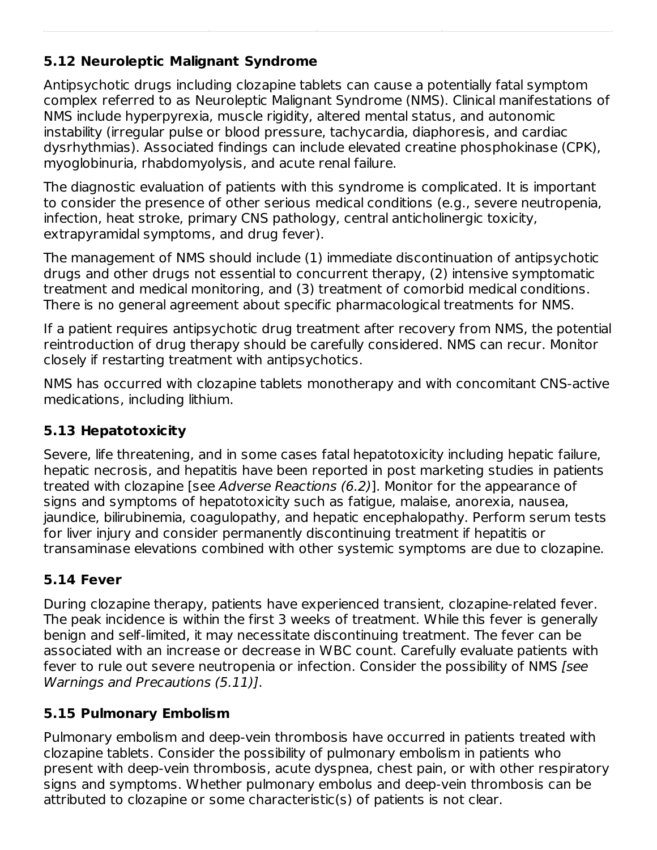## **5.12 Neuroleptic Malignant Syndrome**

Antipsychotic drugs including clozapine tablets can cause a potentially fatal symptom complex referred to as Neuroleptic Malignant Syndrome (NMS). Clinical manifestations of NMS include hyperpyrexia, muscle rigidity, altered mental status, and autonomic instability (irregular pulse or blood pressure, tachycardia, diaphoresis, and cardiac dysrhythmias). Associated findings can include elevated creatine phosphokinase (CPK), myoglobinuria, rhabdomyolysis, and acute renal failure.

The diagnostic evaluation of patients with this syndrome is complicated. It is important to consider the presence of other serious medical conditions (e.g., severe neutropenia, infection, heat stroke, primary CNS pathology, central anticholinergic toxicity, extrapyramidal symptoms, and drug fever).

The management of NMS should include (1) immediate discontinuation of antipsychotic drugs and other drugs not essential to concurrent therapy, (2) intensive symptomatic treatment and medical monitoring, and (3) treatment of comorbid medical conditions. There is no general agreement about specific pharmacological treatments for NMS.

If a patient requires antipsychotic drug treatment after recovery from NMS, the potential reintroduction of drug therapy should be carefully considered. NMS can recur. Monitor closely if restarting treatment with antipsychotics.

NMS has occurred with clozapine tablets monotherapy and with concomitant CNS-active medications, including lithium.

### **5.13 Hepatotoxicity**

Severe, life threatening, and in some cases fatal hepatotoxicity including hepatic failure, hepatic necrosis, and hepatitis have been reported in post marketing studies in patients treated with clozapine [see Adverse Reactions (6.2)]. Monitor for the appearance of signs and symptoms of hepatotoxicity such as fatigue, malaise, anorexia, nausea, jaundice, bilirubinemia, coagulopathy, and hepatic encephalopathy. Perform serum tests for liver injury and consider permanently discontinuing treatment if hepatitis or transaminase elevations combined with other systemic symptoms are due to clozapine.

## **5.14 Fever**

During clozapine therapy, patients have experienced transient, clozapine-related fever. The peak incidence is within the first 3 weeks of treatment. While this fever is generally benign and self-limited, it may necessitate discontinuing treatment. The fever can be associated with an increase or decrease in WBC count. Carefully evaluate patients with fever to rule out severe neutropenia or infection. Consider the possibility of NMS [see Warnings and Precautions (5.11)].

## **5.15 Pulmonary Embolism**

Pulmonary embolism and deep-vein thrombosis have occurred in patients treated with clozapine tablets. Consider the possibility of pulmonary embolism in patients who present with deep-vein thrombosis, acute dyspnea, chest pain, or with other respiratory signs and symptoms. Whether pulmonary embolus and deep-vein thrombosis can be attributed to clozapine or some characteristic(s) of patients is not clear.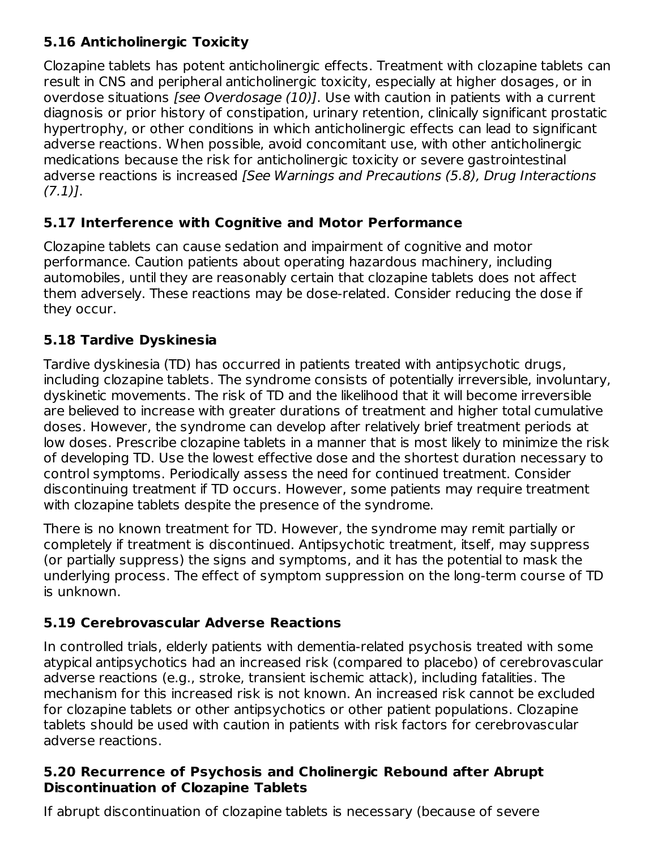## **5.16 Anticholinergic Toxicity**

Clozapine tablets has potent anticholinergic effects. Treatment with clozapine tablets can result in CNS and peripheral anticholinergic toxicity, especially at higher dosages, or in overdose situations *[see Overdosage (10)]*. Use with caution in patients with a current diagnosis or prior history of constipation, urinary retention, clinically significant prostatic hypertrophy, or other conditions in which anticholinergic effects can lead to significant adverse reactions. When possible, avoid concomitant use, with other anticholinergic medications because the risk for anticholinergic toxicity or severe gastrointestinal adverse reactions is increased [See Warnings and Precautions (5.8), Drug Interactions  $(7.1)$ ].

## **5.17 Interference with Cognitive and Motor Performance**

Clozapine tablets can cause sedation and impairment of cognitive and motor performance. Caution patients about operating hazardous machinery, including automobiles, until they are reasonably certain that clozapine tablets does not affect them adversely. These reactions may be dose-related. Consider reducing the dose if they occur.

## **5.18 Tardive Dyskinesia**

Tardive dyskinesia (TD) has occurred in patients treated with antipsychotic drugs, including clozapine tablets. The syndrome consists of potentially irreversible, involuntary, dyskinetic movements. The risk of TD and the likelihood that it will become irreversible are believed to increase with greater durations of treatment and higher total cumulative doses. However, the syndrome can develop after relatively brief treatment periods at low doses. Prescribe clozapine tablets in a manner that is most likely to minimize the risk of developing TD. Use the lowest effective dose and the shortest duration necessary to control symptoms. Periodically assess the need for continued treatment. Consider discontinuing treatment if TD occurs. However, some patients may require treatment with clozapine tablets despite the presence of the syndrome.

There is no known treatment for TD. However, the syndrome may remit partially or completely if treatment is discontinued. Antipsychotic treatment, itself, may suppress (or partially suppress) the signs and symptoms, and it has the potential to mask the underlying process. The effect of symptom suppression on the long-term course of TD is unknown.

## **5.19 Cerebrovascular Adverse Reactions**

In controlled trials, elderly patients with dementia-related psychosis treated with some atypical antipsychotics had an increased risk (compared to placebo) of cerebrovascular adverse reactions (e.g., stroke, transient ischemic attack), including fatalities. The mechanism for this increased risk is not known. An increased risk cannot be excluded for clozapine tablets or other antipsychotics or other patient populations. Clozapine tablets should be used with caution in patients with risk factors for cerebrovascular adverse reactions.

### **5.20 Recurrence of Psychosis and Cholinergic Rebound after Abrupt Discontinuation of Clozapine Tablets**

If abrupt discontinuation of clozapine tablets is necessary (because of severe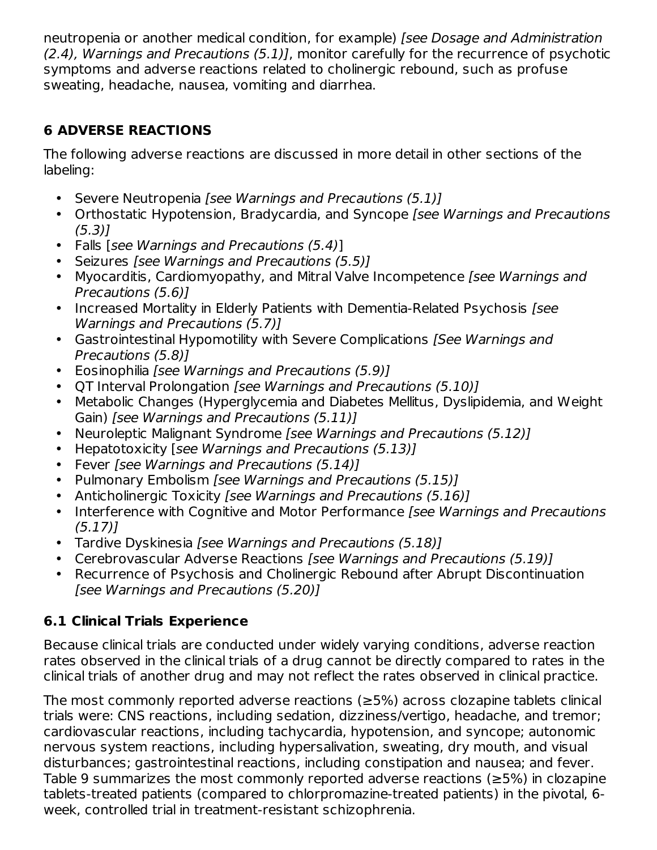neutropenia or another medical condition, for example) [see Dosage and Administration (2.4), Warnings and Precautions (5.1)], monitor carefully for the recurrence of psychotic symptoms and adverse reactions related to cholinergic rebound, such as profuse sweating, headache, nausea, vomiting and diarrhea.

## **6 ADVERSE REACTIONS**

The following adverse reactions are discussed in more detail in other sections of the labeling:

- Severe Neutropenia [see Warnings and Precautions (5.1)]
- Orthostatic Hypotension, Bradycardia, and Syncope [see Warnings and Precautions  $(5.3)$ ]
- Falls [see Warnings and Precautions (5.4)]
- Seizures [see Warnings and Precautions (5.5)]
- Myocarditis, Cardiomyopathy, and Mitral Valve Incompetence [see Warnings and Precautions (5.6)]
- Increased Mortality in Elderly Patients with Dementia-Related Psychosis [see Warnings and Precautions (5.7)]
- Gastrointestinal Hypomotility with Severe Complications *[See Warnings and* Precautions (5.8)]
- Eosinophilia [see Warnings and Precautions (5.9)]
- QT Interval Prolongation [see Warnings and Precautions (5.10)]
- Metabolic Changes (Hyperglycemia and Diabetes Mellitus, Dyslipidemia, and Weight Gain) [see Warnings and Precautions (5.11)]
- Neuroleptic Malignant Syndrome [see Warnings and Precautions (5.12)]
- Hepatotoxicity [see Warnings and Precautions (5.13)]
- Fever [see Warnings and Precautions (5.14)]
- Pulmonary Embolism [see Warnings and Precautions (5.15)]
- $\bullet$ Anticholinergic Toxicity *[see Warnings and Precautions (5.16)]*
- Interference with Cognitive and Motor Performance [see Warnings and Precautions (5.17)]
- Tardive Dyskinesia [see Warnings and Precautions (5.18)]
- Cerebrovascular Adverse Reactions [see Warnings and Precautions (5.19)]
- Recurrence of Psychosis and Cholinergic Rebound after Abrupt Discontinuation [see Warnings and Precautions (5.20)]

## **6.1 Clinical Trials Experience**

Because clinical trials are conducted under widely varying conditions, adverse reaction rates observed in the clinical trials of a drug cannot be directly compared to rates in the clinical trials of another drug and may not reflect the rates observed in clinical practice.

The most commonly reported adverse reactions (≥5%) across clozapine tablets clinical trials were: CNS reactions, including sedation, dizziness/vertigo, headache, and tremor; cardiovascular reactions, including tachycardia, hypotension, and syncope; autonomic nervous system reactions, including hypersalivation, sweating, dry mouth, and visual disturbances; gastrointestinal reactions, including constipation and nausea; and fever. Table 9 summarizes the most commonly reported adverse reactions (≥5%) in clozapine tablets-treated patients (compared to chlorpromazine-treated patients) in the pivotal, 6 week, controlled trial in treatment-resistant schizophrenia.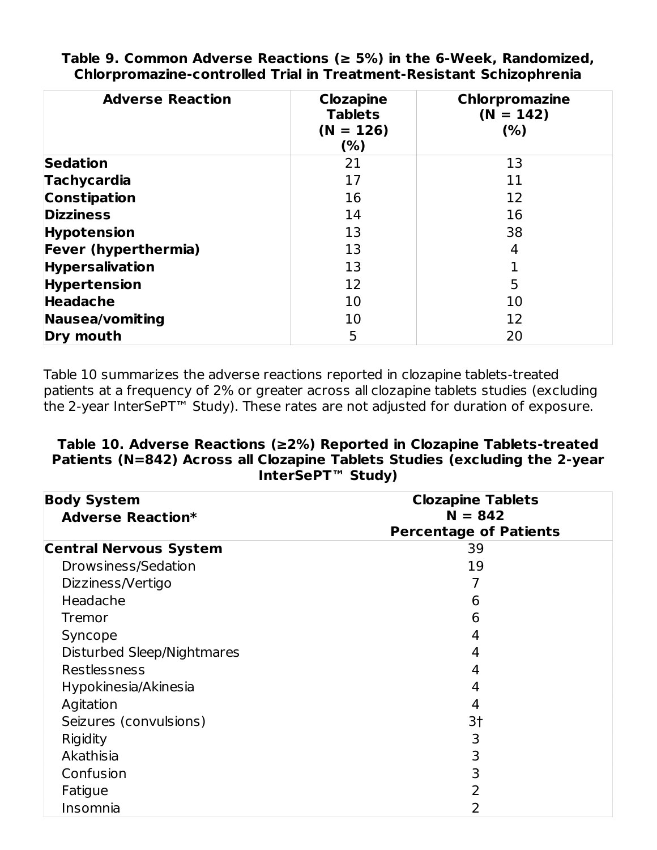| <b>Adverse Reaction</b>     | <b>Clozapine</b><br><b>Tablets</b><br>$(N = 126)$<br>(%) | <b>Chlorpromazine</b><br>$(N = 142)$<br>(% ) |
|-----------------------------|----------------------------------------------------------|----------------------------------------------|
| <b>Sedation</b>             | 21                                                       | 13                                           |
| <b>Tachycardia</b>          | 17                                                       | 11                                           |
| <b>Constipation</b>         | 16                                                       | 12                                           |
| <b>Dizziness</b>            | 14                                                       | 16                                           |
| <b>Hypotension</b>          | 13                                                       | 38                                           |
| <b>Fever (hyperthermia)</b> | 13                                                       | 4                                            |
| <b>Hypersalivation</b>      | 13                                                       |                                              |
| <b>Hypertension</b>         | 12                                                       | 5                                            |
| <b>Headache</b>             | 10                                                       | 10                                           |
| Nausea/vomiting             | 10                                                       | 12                                           |
| Dry mouth                   | 5                                                        | 20                                           |

**Table 9. Common Adverse Reactions (≥ 5%) in the 6-Week, Randomized, Chlorpromazine-controlled Trial in Treatment-Resistant Schizophrenia**

Table 10 summarizes the adverse reactions reported in clozapine tablets-treated patients at a frequency of 2% or greater across all clozapine tablets studies (excluding the 2-year InterSePT™ Study). These rates are not adjusted for duration of exposure.

#### **Table 10. Adverse Reactions (≥2%) Reported in Clozapine Tablets-treated Patients (N=842) Across all Clozapine Tablets Studies (excluding the 2-year InterSePT™ Study)**

| <b>Body System</b><br><b>Adverse Reaction*</b> | <b>Clozapine Tablets</b><br>$N = 842$ |
|------------------------------------------------|---------------------------------------|
|                                                | <b>Percentage of Patients</b>         |
| <b>Central Nervous System</b>                  | 39                                    |
| Drowsiness/Sedation                            | 19                                    |
| Dizziness/Vertigo                              | 7                                     |
| Headache                                       | 6                                     |
| <b>Tremor</b>                                  | 6                                     |
| Syncope                                        | 4                                     |
| Disturbed Sleep/Nightmares                     | 4                                     |
| <b>Restlessness</b>                            | 4                                     |
| Hypokinesia/Akinesia                           | 4                                     |
| Agitation                                      | 4                                     |
| Seizures (convulsions)                         | 3†                                    |
| Rigidity                                       | 3                                     |
| Akathisia                                      | 3                                     |
| Confusion                                      | 3                                     |
| Fatigue                                        | 2                                     |
| Insomnia                                       | 2                                     |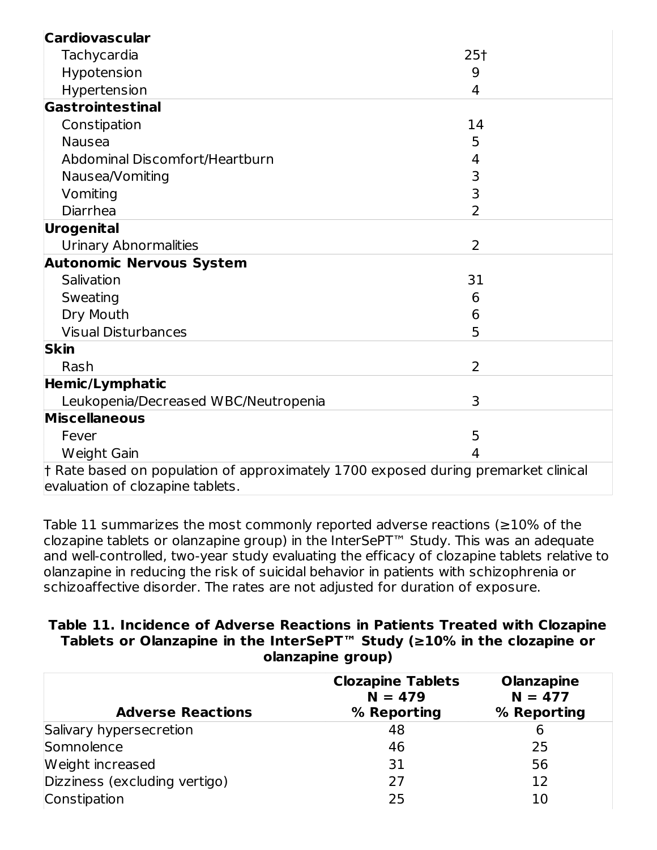| <b>Cardiovascular</b>                                                                      |                |
|--------------------------------------------------------------------------------------------|----------------|
| Tachycardia                                                                                | $25+$          |
| Hypotension                                                                                | 9              |
| Hypertension                                                                               | 4              |
| Gastrointestinal                                                                           |                |
| Constipation                                                                               | 14             |
| <b>Nausea</b>                                                                              | 5              |
| Abdominal Discomfort/Heartburn                                                             | 4              |
| Nausea/Vomiting                                                                            | 3              |
| Vomiting                                                                                   | 3              |
| Diarrhea                                                                                   | $\overline{2}$ |
| Urogenital                                                                                 |                |
| <b>Urinary Abnormalities</b>                                                               | $\overline{2}$ |
| <b>Autonomic Nervous System</b>                                                            |                |
| Salivation                                                                                 | 31             |
| Sweating                                                                                   | 6              |
| Dry Mouth                                                                                  | 6              |
| <b>Visual Disturbances</b>                                                                 | 5              |
| <b>Skin</b>                                                                                |                |
| Rash                                                                                       | $\overline{2}$ |
| <b>Hemic/Lymphatic</b>                                                                     |                |
| Leukopenia/Decreased WBC/Neutropenia                                                       | 3              |
| <b>Miscellaneous</b>                                                                       |                |
| Fever                                                                                      | 5              |
| Weight Gain                                                                                | 4              |
| $\dagger$ Rate based on population of approximately 1700 exposed during premarket clinical |                |
| evaluation of clozapine tablets.                                                           |                |

Table 11 summarizes the most commonly reported adverse reactions ( $\geq$ 10% of the clozapine tablets or olanzapine group) in the InterSePT™ Study. This was an adequate and well-controlled, two-year study evaluating the efficacy of clozapine tablets relative to olanzapine in reducing the risk of suicidal behavior in patients with schizophrenia or schizoaffective disorder. The rates are not adjusted for duration of exposure.

#### **Table 11. Incidence of Adverse Reactions in Patients Treated with Clozapine Tablets or Olanzapine in the InterSePT™ Study (≥10% in the clozapine or olanzapine group)**

| <b>Adverse Reactions</b>      | <b>Clozapine Tablets</b><br>$N = 479$<br>% Reporting | <b>Olanzapine</b><br>$N = 477$<br>% Reporting |
|-------------------------------|------------------------------------------------------|-----------------------------------------------|
| Salivary hypersecretion       | 48                                                   | 6                                             |
| Somnolence                    | 46                                                   | 25                                            |
| Weight increased              | 31                                                   | 56                                            |
| Dizziness (excluding vertigo) | 27                                                   | 12                                            |
| Constipation                  | 25                                                   | 10                                            |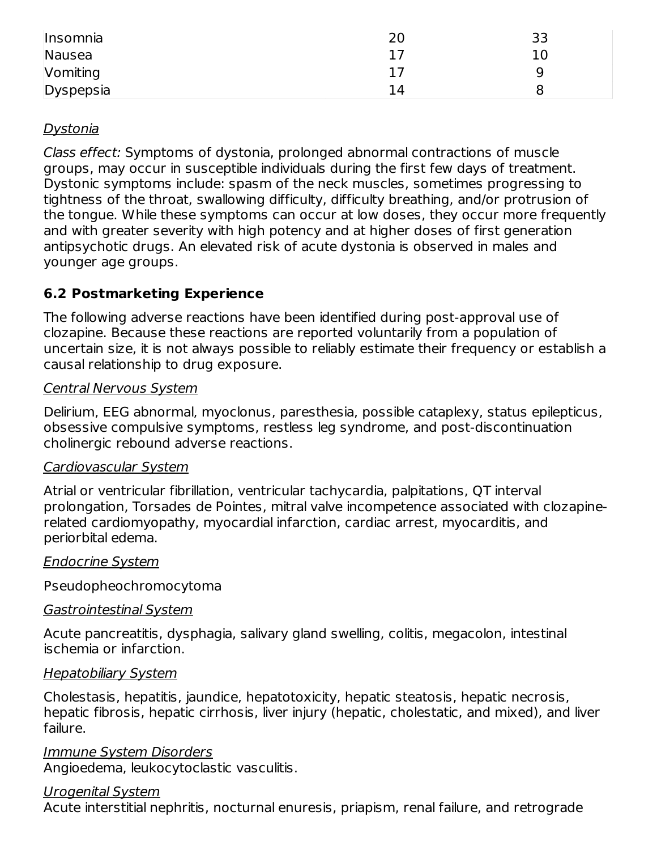| Insomnia  | 20 | 33 |
|-----------|----|----|
| Nausea    |    | 10 |
| Vomiting  |    |    |
| Dyspepsia | 14 |    |

#### Dystonia

Class effect: Symptoms of dystonia, prolonged abnormal contractions of muscle groups, may occur in susceptible individuals during the first few days of treatment. Dystonic symptoms include: spasm of the neck muscles, sometimes progressing to tightness of the throat, swallowing difficulty, difficulty breathing, and/or protrusion of the tongue. While these symptoms can occur at low doses, they occur more frequently and with greater severity with high potency and at higher doses of first generation antipsychotic drugs. An elevated risk of acute dystonia is observed in males and younger age groups.

## **6.2 Postmarketing Experience**

The following adverse reactions have been identified during post-approval use of clozapine. Because these reactions are reported voluntarily from a population of uncertain size, it is not always possible to reliably estimate their frequency or establish a causal relationship to drug exposure.

#### Central Nervous System

Delirium, EEG abnormal, myoclonus, paresthesia, possible cataplexy, status epilepticus, obsessive compulsive symptoms, restless leg syndrome, and post-discontinuation cholinergic rebound adverse reactions.

#### Cardiovascular System

Atrial or ventricular fibrillation, ventricular tachycardia, palpitations, QT interval prolongation, Torsades de Pointes, mitral valve incompetence associated with clozapinerelated cardiomyopathy, myocardial infarction, cardiac arrest, myocarditis, and periorbital edema.

#### Endocrine System

Pseudopheochromocytoma

#### Gastrointestinal System

Acute pancreatitis, dysphagia, salivary gland swelling, colitis, megacolon, intestinal ischemia or infarction.

#### Hepatobiliary System

Cholestasis, hepatitis, jaundice, hepatotoxicity, hepatic steatosis, hepatic necrosis, hepatic fibrosis, hepatic cirrhosis, liver injury (hepatic, cholestatic, and mixed), and liver failure.

Immune System Disorders Angioedema, leukocytoclastic vasculitis.

#### Urogenital System

Acute interstitial nephritis, nocturnal enuresis, priapism, renal failure, and retrograde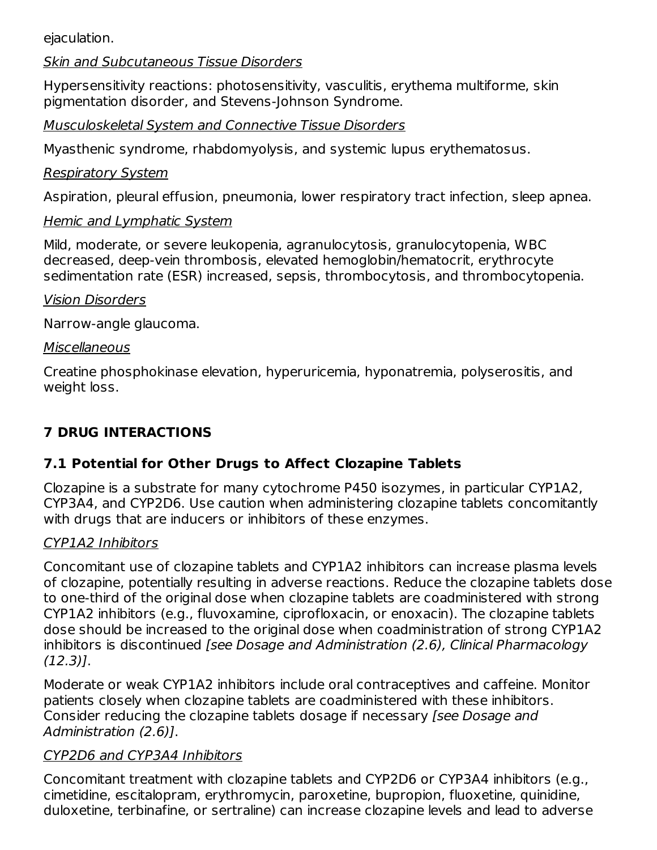ejaculation.

#### Skin and Subcutaneous Tissue Disorders

Hypersensitivity reactions: photosensitivity, vasculitis, erythema multiforme, skin pigmentation disorder, and Stevens-Johnson Syndrome.

Musculoskeletal System and Connective Tissue Disorders

Myasthenic syndrome, rhabdomyolysis, and systemic lupus erythematosus.

### Respiratory System

Aspiration, pleural effusion, pneumonia, lower respiratory tract infection, sleep apnea.

## Hemic and Lymphatic System

Mild, moderate, or severe leukopenia, agranulocytosis, granulocytopenia, WBC decreased, deep-vein thrombosis, elevated hemoglobin/hematocrit, erythrocyte sedimentation rate (ESR) increased, sepsis, thrombocytosis, and thrombocytopenia.

### Vision Disorders

Narrow-angle glaucoma.

### **Miscellaneous**

Creatine phosphokinase elevation, hyperuricemia, hyponatremia, polyserositis, and weight loss.

# **7 DRUG INTERACTIONS**

## **7.1 Potential for Other Drugs to Affect Clozapine Tablets**

Clozapine is a substrate for many cytochrome P450 isozymes, in particular CYP1A2, CYP3A4, and CYP2D6. Use caution when administering clozapine tablets concomitantly with drugs that are inducers or inhibitors of these enzymes.

## CYP1A2 Inhibitors

Concomitant use of clozapine tablets and CYP1A2 inhibitors can increase plasma levels of clozapine, potentially resulting in adverse reactions. Reduce the clozapine tablets dose to one-third of the original dose when clozapine tablets are coadministered with strong CYP1A2 inhibitors (e.g., fluvoxamine, ciprofloxacin, or enoxacin). The clozapine tablets dose should be increased to the original dose when coadministration of strong CYP1A2 inhibitors is discontinued [see Dosage and Administration (2.6), Clinical Pharmacology (12.3)].

Moderate or weak CYP1A2 inhibitors include oral contraceptives and caffeine. Monitor patients closely when clozapine tablets are coadministered with these inhibitors. Consider reducing the clozapine tablets dosage if necessary [see Dosage and Administration (2.6)].

## CYP2D6 and CYP3A4 Inhibitors

Concomitant treatment with clozapine tablets and CYP2D6 or CYP3A4 inhibitors (e.g., cimetidine, escitalopram, erythromycin, paroxetine, bupropion, fluoxetine, quinidine, duloxetine, terbinafine, or sertraline) can increase clozapine levels and lead to adverse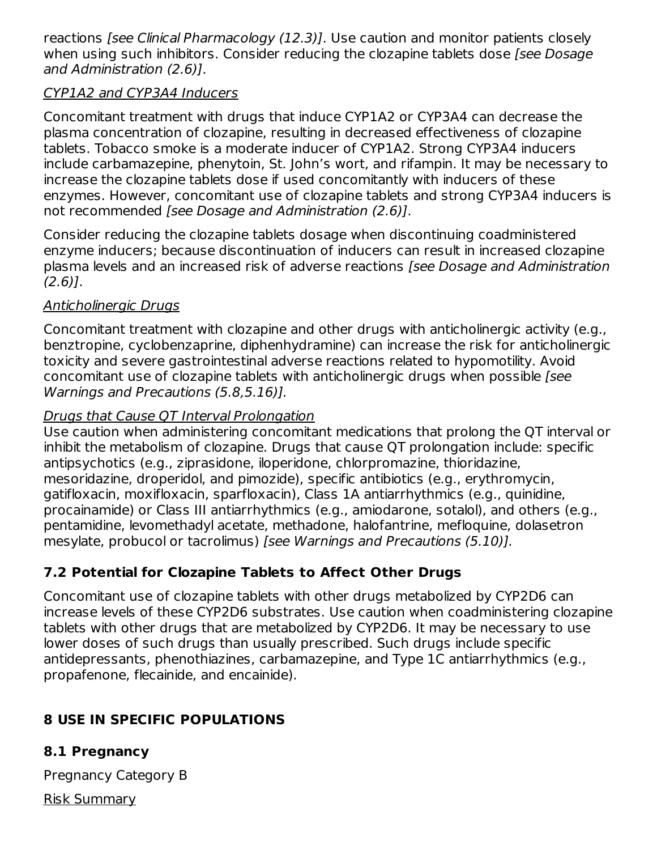reactions [see Clinical Pharmacology (12.3)]. Use caution and monitor patients closely when using such inhibitors. Consider reducing the clozapine tablets dose [see Dosage] and Administration (2.6)].

### CYP1A2 and CYP3A4 Inducers

Concomitant treatment with drugs that induce CYP1A2 or CYP3A4 can decrease the plasma concentration of clozapine, resulting in decreased effectiveness of clozapine tablets. Tobacco smoke is a moderate inducer of CYP1A2. Strong CYP3A4 inducers include carbamazepine, phenytoin, St. John's wort, and rifampin. It may be necessary to increase the clozapine tablets dose if used concomitantly with inducers of these enzymes. However, concomitant use of clozapine tablets and strong CYP3A4 inducers is not recommended [see Dosage and Administration (2.6)].

Consider reducing the clozapine tablets dosage when discontinuing coadministered enzyme inducers; because discontinuation of inducers can result in increased clozapine plasma levels and an increased risk of adverse reactions [see Dosage and Administration  $(2.6)$ ].

## Anticholinergic Drugs

Concomitant treatment with clozapine and other drugs with anticholinergic activity (e.g., benztropine, cyclobenzaprine, diphenhydramine) can increase the risk for anticholinergic toxicity and severe gastrointestinal adverse reactions related to hypomotility. Avoid concomitant use of clozapine tablets with anticholinergic drugs when possible [see Warnings and Precautions (5.8,5.16)].

### Drugs that Cause QT Interval Prolongation

Use caution when administering concomitant medications that prolong the QT interval or inhibit the metabolism of clozapine. Drugs that cause QT prolongation include: specific antipsychotics (e.g., ziprasidone, iloperidone, chlorpromazine, thioridazine, mesoridazine, droperidol, and pimozide), specific antibiotics (e.g., erythromycin, gatifloxacin, moxifloxacin, sparfloxacin), Class 1A antiarrhythmics (e.g., quinidine, procainamide) or Class III antiarrhythmics (e.g., amiodarone, sotalol), and others (e.g., pentamidine, levomethadyl acetate, methadone, halofantrine, mefloquine, dolasetron mesylate, probucol or tacrolimus) [see Warnings and Precautions (5.10)].

## **7.2 Potential for Clozapine Tablets to Affect Other Drugs**

Concomitant use of clozapine tablets with other drugs metabolized by CYP2D6 can increase levels of these CYP2D6 substrates. Use caution when coadministering clozapine tablets with other drugs that are metabolized by CYP2D6. It may be necessary to use lower doses of such drugs than usually prescribed. Such drugs include specific antidepressants, phenothiazines, carbamazepine, and Type 1C antiarrhythmics (e.g., propafenone, flecainide, and encainide).

## **8 USE IN SPECIFIC POPULATIONS**

## **8.1 Pregnancy**

Pregnancy Category B

Risk Summary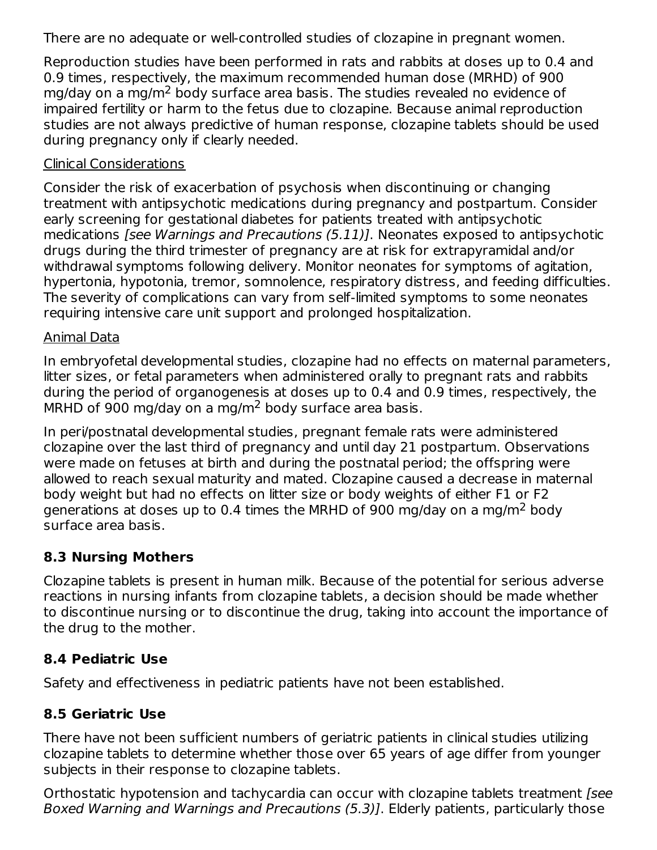There are no adequate or well-controlled studies of clozapine in pregnant women.

Reproduction studies have been performed in rats and rabbits at doses up to 0.4 and 0.9 times, respectively, the maximum recommended human dose (MRHD) of 900 mg/day on a mg/m<sup>2</sup> body surface area basis. The studies revealed no evidence of impaired fertility or harm to the fetus due to clozapine. Because animal reproduction studies are not always predictive of human response, clozapine tablets should be used during pregnancy only if clearly needed.

#### Clinical Considerations

Consider the risk of exacerbation of psychosis when discontinuing or changing treatment with antipsychotic medications during pregnancy and postpartum. Consider early screening for gestational diabetes for patients treated with antipsychotic medications [see Warnings and Precautions (5.11)]. Neonates exposed to antipsychotic drugs during the third trimester of pregnancy are at risk for extrapyramidal and/or withdrawal symptoms following delivery. Monitor neonates for symptoms of agitation, hypertonia, hypotonia, tremor, somnolence, respiratory distress, and feeding difficulties. The severity of complications can vary from self-limited symptoms to some neonates requiring intensive care unit support and prolonged hospitalization.

#### Animal Data

In embryofetal developmental studies, clozapine had no effects on maternal parameters, litter sizes, or fetal parameters when administered orally to pregnant rats and rabbits during the period of organogenesis at doses up to 0.4 and 0.9 times, respectively, the MRHD of 900 mg/day on a mg/m<sup>2</sup> body surface area basis.

In peri/postnatal developmental studies, pregnant female rats were administered clozapine over the last third of pregnancy and until day 21 postpartum. Observations were made on fetuses at birth and during the postnatal period; the offspring were allowed to reach sexual maturity and mated. Clozapine caused a decrease in maternal body weight but had no effects on litter size or body weights of either F1 or F2 generations at doses up to 0.4 times the MRHD of 900 mg/day on a mg/m<sup>2</sup> body surface area basis.

### **8.3 Nursing Mothers**

Clozapine tablets is present in human milk. Because of the potential for serious adverse reactions in nursing infants from clozapine tablets, a decision should be made whether to discontinue nursing or to discontinue the drug, taking into account the importance of the drug to the mother.

### **8.4 Pediatric Use**

Safety and effectiveness in pediatric patients have not been established.

## **8.5 Geriatric Use**

There have not been sufficient numbers of geriatric patients in clinical studies utilizing clozapine tablets to determine whether those over 65 years of age differ from younger subjects in their response to clozapine tablets.

Orthostatic hypotension and tachycardia can occur with clozapine tablets treatment [see Boxed Warning and Warnings and Precautions (5.3)]. Elderly patients, particularly those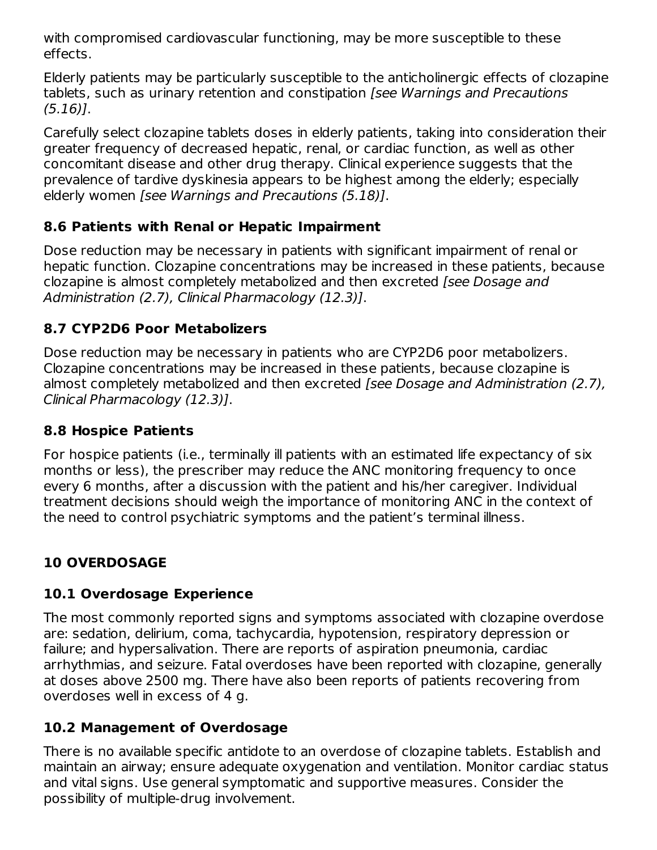with compromised cardiovascular functioning, may be more susceptible to these effects.

Elderly patients may be particularly susceptible to the anticholinergic effects of clozapine tablets, such as urinary retention and constipation [see Warnings and Precautions (5.16)].

Carefully select clozapine tablets doses in elderly patients, taking into consideration their greater frequency of decreased hepatic, renal, or cardiac function, as well as other concomitant disease and other drug therapy. Clinical experience suggests that the prevalence of tardive dyskinesia appears to be highest among the elderly; especially elderly women [see Warnings and Precautions (5.18)].

### **8.6 Patients with Renal or Hepatic Impairment**

Dose reduction may be necessary in patients with significant impairment of renal or hepatic function. Clozapine concentrations may be increased in these patients, because clozapine is almost completely metabolized and then excreted [see Dosage and Administration (2.7), Clinical Pharmacology (12.3)].

## **8.7 CYP2D6 Poor Metabolizers**

Dose reduction may be necessary in patients who are CYP2D6 poor metabolizers. Clozapine concentrations may be increased in these patients, because clozapine is almost completely metabolized and then excreted [see Dosage and Administration (2.7), Clinical Pharmacology (12.3)].

### **8.8 Hospice Patients**

For hospice patients (i.e., terminally ill patients with an estimated life expectancy of six months or less), the prescriber may reduce the ANC monitoring frequency to once every 6 months, after a discussion with the patient and his/her caregiver. Individual treatment decisions should weigh the importance of monitoring ANC in the context of the need to control psychiatric symptoms and the patient's terminal illness.

## **10 OVERDOSAGE**

## **10.1 Overdosage Experience**

The most commonly reported signs and symptoms associated with clozapine overdose are: sedation, delirium, coma, tachycardia, hypotension, respiratory depression or failure; and hypersalivation. There are reports of aspiration pneumonia, cardiac arrhythmias, and seizure. Fatal overdoses have been reported with clozapine, generally at doses above 2500 mg. There have also been reports of patients recovering from overdoses well in excess of 4 g.

## **10.2 Management of Overdosage**

There is no available specific antidote to an overdose of clozapine tablets. Establish and maintain an airway; ensure adequate oxygenation and ventilation. Monitor cardiac status and vital signs. Use general symptomatic and supportive measures. Consider the possibility of multiple-drug involvement.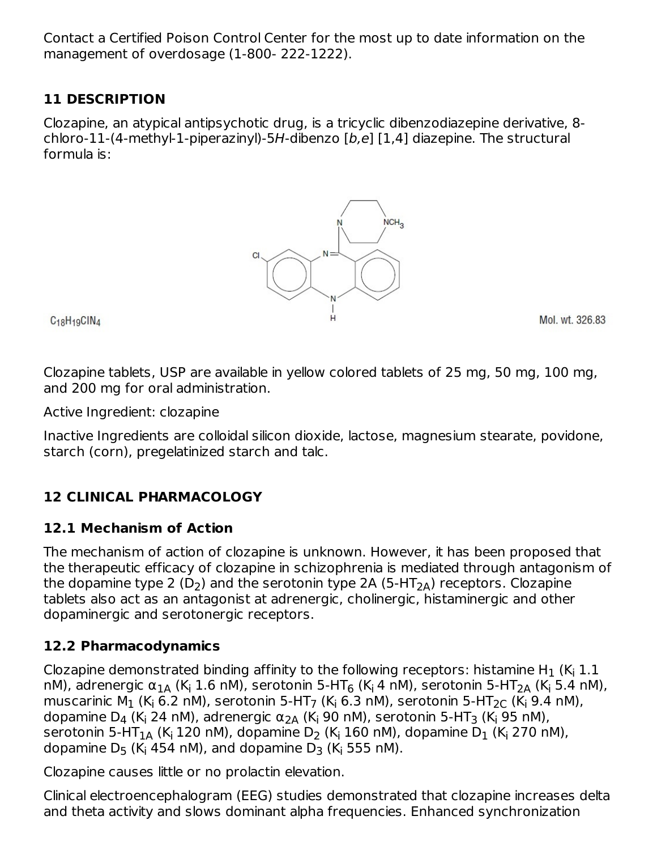Contact a Certified Poison Control Center for the most up to date information on the management of overdosage (1-800- 222-1222).

## **11 DESCRIPTION**

Clozapine, an atypical antipsychotic drug, is a tricyclic dibenzodiazepine derivative, 8 chloro-11-(4-methyl-1-piperazinyl)-5H-dibenzo [b,e] [1,4] diazepine. The structural formula is:



C<sub>18</sub>H<sub>19</sub>CIN<sub>4</sub>

Mol. wt. 326.83

Clozapine tablets, USP are available in yellow colored tablets of 25 mg, 50 mg, 100 mg, and 200 mg for oral administration.

Active Ingredient: clozapine

Inactive Ingredients are colloidal silicon dioxide, lactose, magnesium stearate, povidone, starch (corn), pregelatinized starch and talc.

## **12 CLINICAL PHARMACOLOGY**

### **12.1 Mechanism of Action**

The mechanism of action of clozapine is unknown. However, it has been proposed that the therapeutic efficacy of clozapine in schizophrenia is mediated through antagonism of the dopamine type 2 (D<sub>2</sub>) and the serotonin type 2A (5-HT<sub>2A</sub>) receptors. Clozapine tablets also act as an antagonist at adrenergic, cholinergic, histaminergic and other dopaminergic and serotonergic receptors.

## **12.2 Pharmacodynamics**

Clozapine demonstrated binding affinity to the following receptors: histamine H $_1$  (K $_{\sf i}$  1.1  $\;$ nM), adrenergic α $_{1}$ д (K<sub>i</sub> 1.6 nM), serotonin 5-HT<sub>6</sub> (K<sub>i</sub> 4 nM), serotonin 5-HT<sub>2A</sub> (K<sub>i</sub> 5.4 nM), muscarinic M $_1$  (K<sub>i</sub> 6.2 nM), serotonin 5-HT<sub>7</sub> (K<sub>i</sub> 6.3 nM), serotonin 5-HT $_{2 \text{C}}$  (K<sub>i</sub> 9.4 nM), dopamine D $_4$  (K<sub>i</sub> 24 nM), adrenergic  $\alpha_{\text{2A}}$  (K<sub>i</sub> 90 nM), serotonin 5-HT $_3$  (K<sub>i</sub> 95 nM), serotonin 5-HT $_{1\sf A}$  (K<sub>i</sub> 120 nM), dopamine D<sub>2</sub> (K<sub>i</sub> 160 nM), dopamine D $_1$  (K<sub>i</sub> 270 nM), dopamine D<sub>5</sub> (K<sub>i</sub> 454 nM), and dopamine D<sub>3</sub> (K<sub>i</sub> 555 nM).

Clozapine causes little or no prolactin elevation.

Clinical electroencephalogram (EEG) studies demonstrated that clozapine increases delta and theta activity and slows dominant alpha frequencies. Enhanced synchronization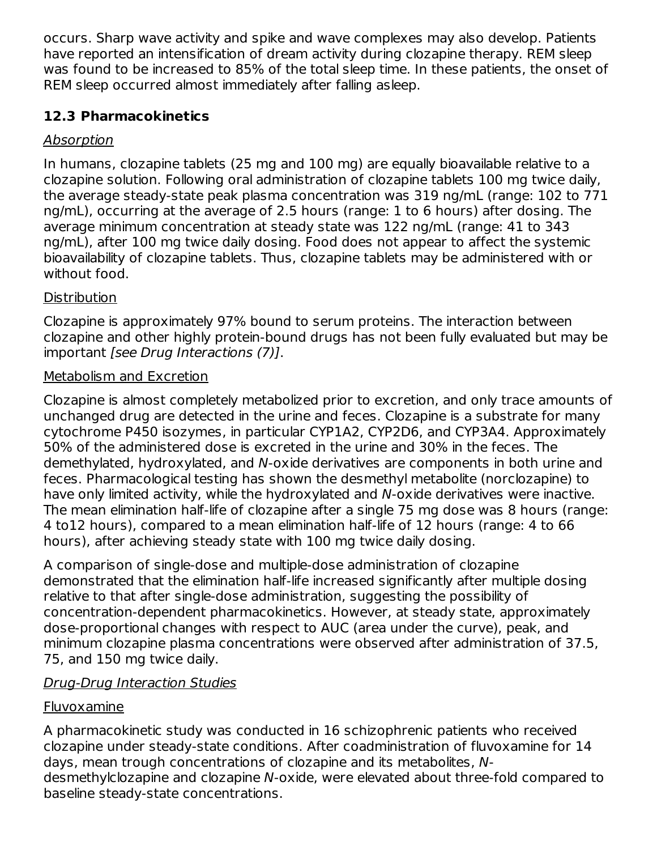occurs. Sharp wave activity and spike and wave complexes may also develop. Patients have reported an intensification of dream activity during clozapine therapy. REM sleep was found to be increased to 85% of the total sleep time. In these patients, the onset of REM sleep occurred almost immediately after falling asleep.

## **12.3 Pharmacokinetics**

## Absorption

In humans, clozapine tablets (25 mg and 100 mg) are equally bioavailable relative to a clozapine solution. Following oral administration of clozapine tablets 100 mg twice daily, the average steady-state peak plasma concentration was 319 ng/mL (range: 102 to 771 ng/mL), occurring at the average of 2.5 hours (range: 1 to 6 hours) after dosing. The average minimum concentration at steady state was 122 ng/mL (range: 41 to 343 ng/mL), after 100 mg twice daily dosing. Food does not appear to affect the systemic bioavailability of clozapine tablets. Thus, clozapine tablets may be administered with or without food.

## **Distribution**

Clozapine is approximately 97% bound to serum proteins. The interaction between clozapine and other highly protein-bound drugs has not been fully evaluated but may be important [see Drug Interactions (7)].

## Metabolism and Excretion

Clozapine is almost completely metabolized prior to excretion, and only trace amounts of unchanged drug are detected in the urine and feces. Clozapine is a substrate for many cytochrome P450 isozymes, in particular CYP1A2, CYP2D6, and CYP3A4. Approximately 50% of the administered dose is excreted in the urine and 30% in the feces. The demethylated, hydroxylated, and N-oxide derivatives are components in both urine and feces. Pharmacological testing has shown the desmethyl metabolite (norclozapine) to have only limited activity, while the hydroxylated and N-oxide derivatives were inactive. The mean elimination half-life of clozapine after a single 75 mg dose was 8 hours (range: 4 to12 hours), compared to a mean elimination half-life of 12 hours (range: 4 to 66 hours), after achieving steady state with 100 mg twice daily dosing.

A comparison of single-dose and multiple-dose administration of clozapine demonstrated that the elimination half-life increased significantly after multiple dosing relative to that after single-dose administration, suggesting the possibility of concentration-dependent pharmacokinetics. However, at steady state, approximately dose-proportional changes with respect to AUC (area under the curve), peak, and minimum clozapine plasma concentrations were observed after administration of 37.5, 75, and 150 mg twice daily.

## Drug-Drug Interaction Studies

## Fluvoxamine

A pharmacokinetic study was conducted in 16 schizophrenic patients who received clozapine under steady-state conditions. After coadministration of fluvoxamine for 14 days, mean trough concentrations of clozapine and its metabolites, Ndesmethylclozapine and clozapine N-oxide, were elevated about three-fold compared to baseline steady-state concentrations.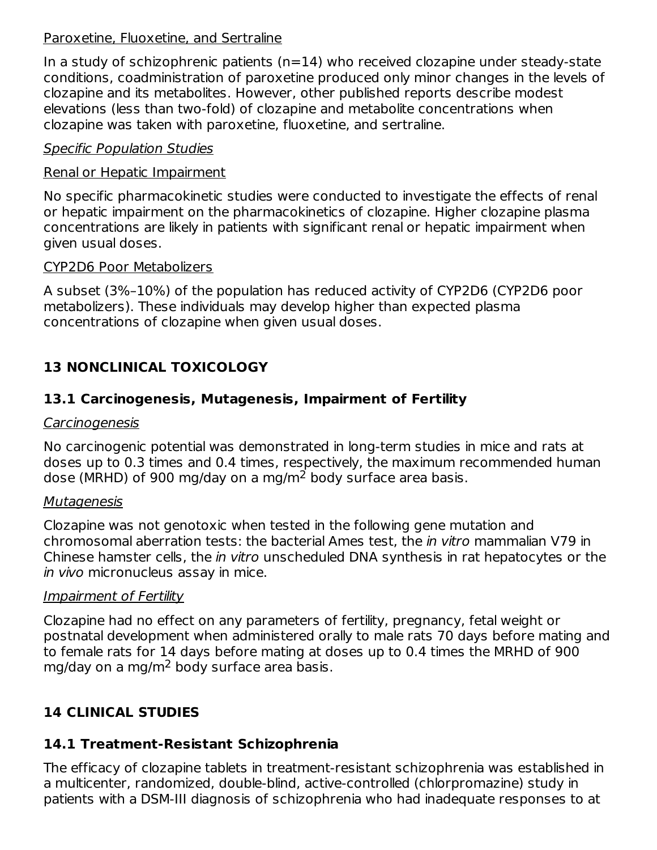#### Paroxetine, Fluoxetine, and Sertraline

In a study of schizophrenic patients  $(n=14)$  who received clozapine under steady-state conditions, coadministration of paroxetine produced only minor changes in the levels of clozapine and its metabolites. However, other published reports describe modest elevations (less than two-fold) of clozapine and metabolite concentrations when clozapine was taken with paroxetine, fluoxetine, and sertraline.

### Specific Population Studies

### Renal or Hepatic Impairment

No specific pharmacokinetic studies were conducted to investigate the effects of renal or hepatic impairment on the pharmacokinetics of clozapine. Higher clozapine plasma concentrations are likely in patients with significant renal or hepatic impairment when given usual doses.

#### CYP2D6 Poor Metabolizers

A subset (3%–10%) of the population has reduced activity of CYP2D6 (CYP2D6 poor metabolizers). These individuals may develop higher than expected plasma concentrations of clozapine when given usual doses.

# **13 NONCLINICAL TOXICOLOGY**

## **13.1 Carcinogenesis, Mutagenesis, Impairment of Fertility**

#### **Carcinogenesis**

No carcinogenic potential was demonstrated in long-term studies in mice and rats at doses up to 0.3 times and 0.4 times, respectively, the maximum recommended human dose (MRHD) of 900 mg/day on a mg/m<sup>2</sup> body surface area basis.

#### **Mutagenesis**

Clozapine was not genotoxic when tested in the following gene mutation and chromosomal aberration tests: the bacterial Ames test, the in vitro mammalian V79 in Chinese hamster cells, the in vitro unscheduled DNA synthesis in rat hepatocytes or the in vivo micronucleus assay in mice.

### Impairment of Fertility

Clozapine had no effect on any parameters of fertility, pregnancy, fetal weight or postnatal development when administered orally to male rats 70 days before mating and to female rats for 14 days before mating at doses up to 0.4 times the MRHD of 900 mg/day on a mg/m<sup>2</sup> body surface area basis.

## **14 CLINICAL STUDIES**

## **14.1 Treatment-Resistant Schizophrenia**

The efficacy of clozapine tablets in treatment-resistant schizophrenia was established in a multicenter, randomized, double-blind, active-controlled (chlorpromazine) study in patients with a DSM-III diagnosis of schizophrenia who had inadequate responses to at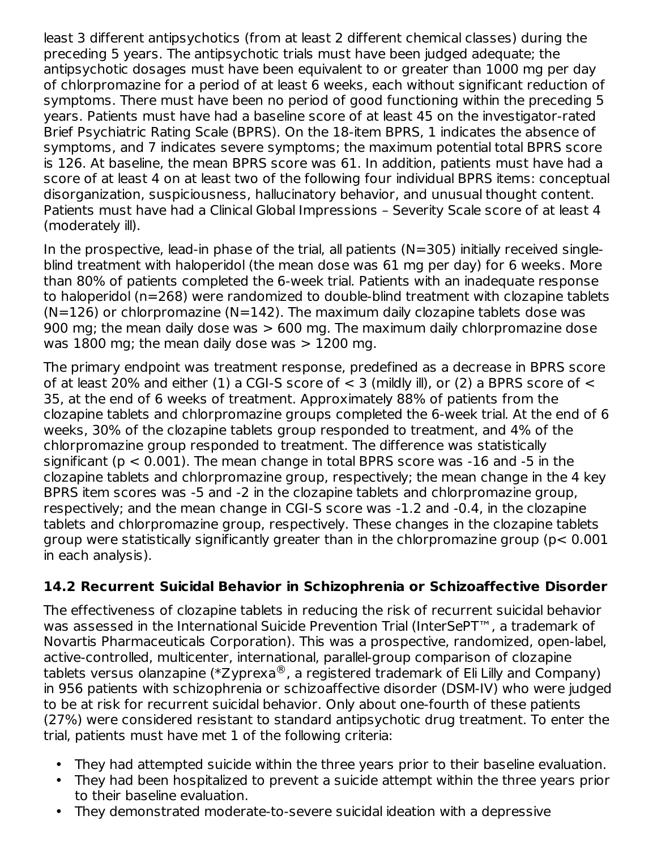least 3 different antipsychotics (from at least 2 different chemical classes) during the preceding 5 years. The antipsychotic trials must have been judged adequate; the antipsychotic dosages must have been equivalent to or greater than 1000 mg per day of chlorpromazine for a period of at least 6 weeks, each without significant reduction of symptoms. There must have been no period of good functioning within the preceding 5 years. Patients must have had a baseline score of at least 45 on the investigator-rated Brief Psychiatric Rating Scale (BPRS). On the 18-item BPRS, 1 indicates the absence of symptoms, and 7 indicates severe symptoms; the maximum potential total BPRS score is 126. At baseline, the mean BPRS score was 61. In addition, patients must have had a score of at least 4 on at least two of the following four individual BPRS items: conceptual disorganization, suspiciousness, hallucinatory behavior, and unusual thought content. Patients must have had a Clinical Global Impressions – Severity Scale score of at least 4 (moderately ill).

In the prospective, lead-in phase of the trial, all patients ( $N=305$ ) initially received singleblind treatment with haloperidol (the mean dose was 61 mg per day) for 6 weeks. More than 80% of patients completed the 6-week trial. Patients with an inadequate response to haloperidol (n=268) were randomized to double-blind treatment with clozapine tablets  $(N=126)$  or chlorpromazine  $(N=142)$ . The maximum daily clozapine tablets dose was 900 mg; the mean daily dose was > 600 mg. The maximum daily chlorpromazine dose was  $1800$  mg; the mean daily dose was  $> 1200$  mg.

The primary endpoint was treatment response, predefined as a decrease in BPRS score of at least 20% and either (1) a CGI-S score of  $<$  3 (mildly ill), or (2) a BPRS score of  $<$ 35, at the end of 6 weeks of treatment. Approximately 88% of patients from the clozapine tablets and chlorpromazine groups completed the 6-week trial. At the end of 6 weeks, 30% of the clozapine tablets group responded to treatment, and 4% of the chlorpromazine group responded to treatment. The difference was statistically significant ( $p < 0.001$ ). The mean change in total BPRS score was  $-16$  and  $-5$  in the clozapine tablets and chlorpromazine group, respectively; the mean change in the 4 key BPRS item scores was -5 and -2 in the clozapine tablets and chlorpromazine group, respectively; and the mean change in CGI-S score was -1.2 and -0.4, in the clozapine tablets and chlorpromazine group, respectively. These changes in the clozapine tablets group were statistically significantly greater than in the chlorpromazine group (p< 0.001 in each analysis).

## **14.2 Recurrent Suicidal Behavior in Schizophrenia or Schizoaffective Disorder**

The effectiveness of clozapine tablets in reducing the risk of recurrent suicidal behavior was assessed in the International Suicide Prevention Trial (InterSePT™, a trademark of Novartis Pharmaceuticals Corporation). This was a prospective, randomized, open-label, active-controlled, multicenter, international, parallel-group comparison of clozapine tablets versus olanzapine (\*Zyprexa $^\circledR$ , a registered trademark of Eli Lilly and Company) in 956 patients with schizophrenia or schizoaffective disorder (DSM-IV) who were judged to be at risk for recurrent suicidal behavior. Only about one-fourth of these patients (27%) were considered resistant to standard antipsychotic drug treatment. To enter the trial, patients must have met 1 of the following criteria:

- They had attempted suicide within the three years prior to their baseline evaluation.
- They had been hospitalized to prevent a suicide attempt within the three years prior to their baseline evaluation.
- They demonstrated moderate-to-severe suicidal ideation with a depressive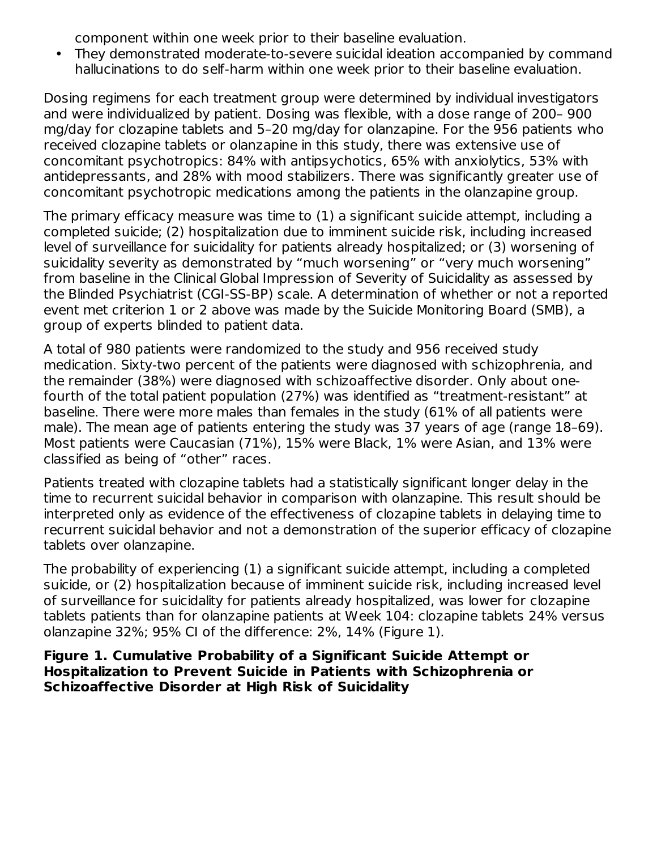component within one week prior to their baseline evaluation.

• They demonstrated moderate-to-severe suicidal ideation accompanied by command hallucinations to do self-harm within one week prior to their baseline evaluation.

Dosing regimens for each treatment group were determined by individual investigators and were individualized by patient. Dosing was flexible, with a dose range of 200– 900 mg/day for clozapine tablets and 5–20 mg/day for olanzapine. For the 956 patients who received clozapine tablets or olanzapine in this study, there was extensive use of concomitant psychotropics: 84% with antipsychotics, 65% with anxiolytics, 53% with antidepressants, and 28% with mood stabilizers. There was significantly greater use of concomitant psychotropic medications among the patients in the olanzapine group.

The primary efficacy measure was time to (1) a significant suicide attempt, including a completed suicide; (2) hospitalization due to imminent suicide risk, including increased level of surveillance for suicidality for patients already hospitalized; or (3) worsening of suicidality severity as demonstrated by "much worsening" or "very much worsening" from baseline in the Clinical Global Impression of Severity of Suicidality as assessed by the Blinded Psychiatrist (CGI-SS-BP) scale. A determination of whether or not a reported event met criterion 1 or 2 above was made by the Suicide Monitoring Board (SMB), a group of experts blinded to patient data.

A total of 980 patients were randomized to the study and 956 received study medication. Sixty-two percent of the patients were diagnosed with schizophrenia, and the remainder (38%) were diagnosed with schizoaffective disorder. Only about onefourth of the total patient population (27%) was identified as "treatment-resistant" at baseline. There were more males than females in the study (61% of all patients were male). The mean age of patients entering the study was 37 years of age (range 18–69). Most patients were Caucasian (71%), 15% were Black, 1% were Asian, and 13% were classified as being of "other" races.

Patients treated with clozapine tablets had a statistically significant longer delay in the time to recurrent suicidal behavior in comparison with olanzapine. This result should be interpreted only as evidence of the effectiveness of clozapine tablets in delaying time to recurrent suicidal behavior and not a demonstration of the superior efficacy of clozapine tablets over olanzapine.

The probability of experiencing (1) a significant suicide attempt, including a completed suicide, or (2) hospitalization because of imminent suicide risk, including increased level of surveillance for suicidality for patients already hospitalized, was lower for clozapine tablets patients than for olanzapine patients at Week 104: clozapine tablets 24% versus olanzapine 32%; 95% CI of the difference: 2%, 14% (Figure 1).

**Figure 1. Cumulative Probability of a Significant Suicide Attempt or Hospitalization to Prevent Suicide in Patients with Schizophrenia or Schizoaffective Disorder at High Risk of Suicidality**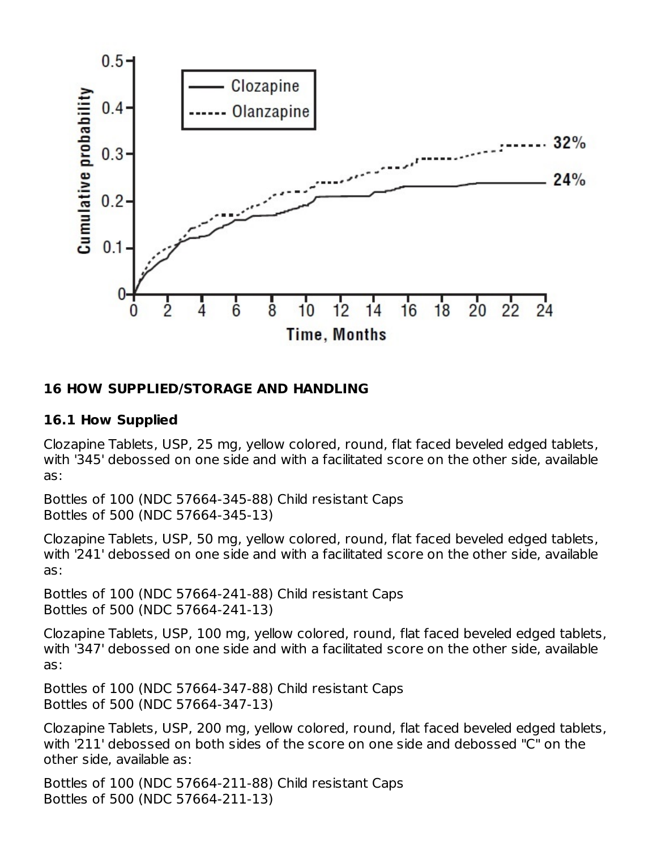

#### **16 HOW SUPPLIED/STORAGE AND HANDLING**

#### **16.1 How Supplied**

Clozapine Tablets, USP, 25 mg, yellow colored, round, flat faced beveled edged tablets, with '345' debossed on one side and with a facilitated score on the other side, available as:

Bottles of 100 (NDC 57664-345-88) Child resistant Caps Bottles of 500 (NDC 57664-345-13)

Clozapine Tablets, USP, 50 mg, yellow colored, round, flat faced beveled edged tablets, with '241' debossed on one side and with a facilitated score on the other side, available as:

Bottles of 100 (NDC 57664-241-88) Child resistant Caps Bottles of 500 (NDC 57664-241-13)

Clozapine Tablets, USP, 100 mg, yellow colored, round, flat faced beveled edged tablets, with '347' debossed on one side and with a facilitated score on the other side, available as:

Bottles of 100 (NDC 57664-347-88) Child resistant Caps Bottles of 500 (NDC 57664-347-13)

Clozapine Tablets, USP, 200 mg, yellow colored, round, flat faced beveled edged tablets, with '211' debossed on both sides of the score on one side and debossed "C" on the other side, available as:

Bottles of 100 (NDC 57664-211-88) Child resistant Caps Bottles of 500 (NDC 57664-211-13)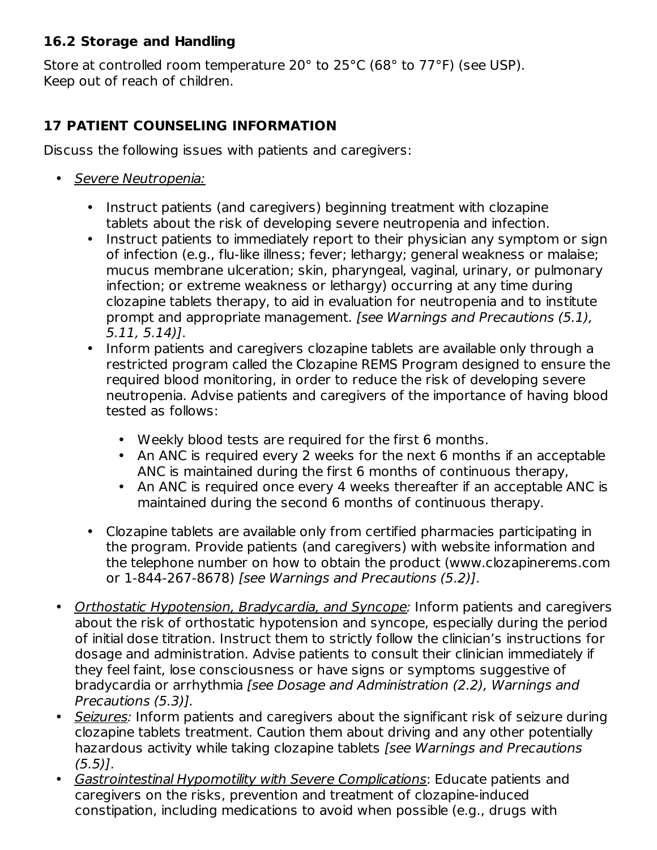### **16.2 Storage and Handling**

Store at controlled room temperature 20° to 25°C (68° to 77°F) (see USP). Keep out of reach of children.

## **17 PATIENT COUNSELING INFORMATION**

Discuss the following issues with patients and caregivers:

- Severe Neutropenia:
	- Instruct patients (and caregivers) beginning treatment with clozapine tablets about the risk of developing severe neutropenia and infection.
	- Instruct patients to immediately report to their physician any symptom or sign of infection (e.g., flu-like illness; fever; lethargy; general weakness or malaise; mucus membrane ulceration; skin, pharyngeal, vaginal, urinary, or pulmonary infection; or extreme weakness or lethargy) occurring at any time during clozapine tablets therapy, to aid in evaluation for neutropenia and to institute prompt and appropriate management. [see Warnings and Precautions (5.1), 5.11, 5.14)].
	- Inform patients and caregivers clozapine tablets are available only through a restricted program called the Clozapine REMS Program designed to ensure the required blood monitoring, in order to reduce the risk of developing severe neutropenia. Advise patients and caregivers of the importance of having blood tested as follows:
		- Weekly blood tests are required for the first 6 months.
		- An ANC is required every 2 weeks for the next 6 months if an acceptable ANC is maintained during the first 6 months of continuous therapy,
		- An ANC is required once every 4 weeks thereafter if an acceptable ANC is maintained during the second 6 months of continuous therapy.
	- Clozapine tablets are available only from certified pharmacies participating in the program. Provide patients (and caregivers) with website information and the telephone number on how to obtain the product (www.clozapinerems.com or 1-844-267-8678) [see Warnings and Precautions (5.2)].
- Orthostatic Hypotension, Bradycardia, and Syncope: Inform patients and caregivers about the risk of orthostatic hypotension and syncope, especially during the period of initial dose titration. Instruct them to strictly follow the clinician's instructions for dosage and administration. Advise patients to consult their clinician immediately if they feel faint, lose consciousness or have signs or symptoms suggestive of bradycardia or arrhythmia [see Dosage and Administration (2.2), Warnings and Precautions (5.3)].
- Seizures: Inform patients and caregivers about the significant risk of seizure during clozapine tablets treatment. Caution them about driving and any other potentially hazardous activity while taking clozapine tablets [see Warnings and Precautions  $(5.5)$ ].
- Gastrointestinal Hypomotility with Severe Complications: Educate patients and caregivers on the risks, prevention and treatment of clozapine-induced constipation, including medications to avoid when possible (e.g., drugs with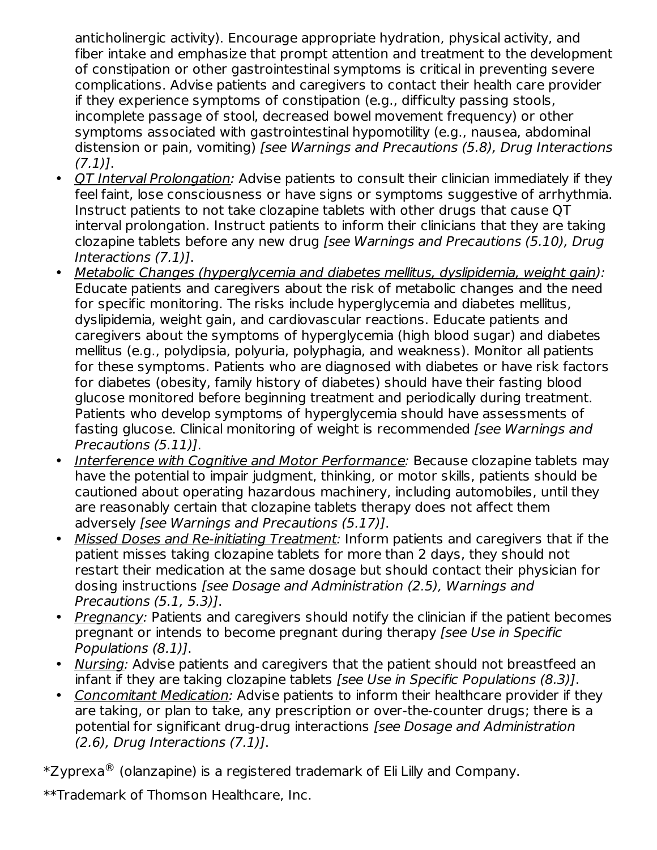anticholinergic activity). Encourage appropriate hydration, physical activity, and fiber intake and emphasize that prompt attention and treatment to the development of constipation or other gastrointestinal symptoms is critical in preventing severe complications. Advise patients and caregivers to contact their health care provider if they experience symptoms of constipation (e.g., difficulty passing stools, incomplete passage of stool, decreased bowel movement frequency) or other symptoms associated with gastrointestinal hypomotility (e.g., nausea, abdominal distension or pain, vomiting) [see Warnings and Precautions (5.8), Drug Interactions  $(7.1)$ ].

- QT Interval Prolongation: Advise patients to consult their clinician immediately if they feel faint, lose consciousness or have signs or symptoms suggestive of arrhythmia. Instruct patients to not take clozapine tablets with other drugs that cause QT interval prolongation. Instruct patients to inform their clinicians that they are taking clozapine tablets before any new drug [see Warnings and Precautions (5.10), Drug Interactions (7.1)].
- Metabolic Changes (hyperglycemia and diabetes mellitus, dyslipidemia, weight gain): Educate patients and caregivers about the risk of metabolic changes and the need for specific monitoring. The risks include hyperglycemia and diabetes mellitus, dyslipidemia, weight gain, and cardiovascular reactions. Educate patients and caregivers about the symptoms of hyperglycemia (high blood sugar) and diabetes mellitus (e.g., polydipsia, polyuria, polyphagia, and weakness). Monitor all patients for these symptoms. Patients who are diagnosed with diabetes or have risk factors for diabetes (obesity, family history of diabetes) should have their fasting blood glucose monitored before beginning treatment and periodically during treatment. Patients who develop symptoms of hyperglycemia should have assessments of fasting glucose. Clinical monitoring of weight is recommended *[see Warnings and* Precautions (5.11)].
- Interference with Cognitive and Motor Performance: Because clozapine tablets may have the potential to impair judgment, thinking, or motor skills, patients should be cautioned about operating hazardous machinery, including automobiles, until they are reasonably certain that clozapine tablets therapy does not affect them adversely [see Warnings and Precautions (5.17)].
- Missed Doses and Re-initiating Treatment: Inform patients and caregivers that if the patient misses taking clozapine tablets for more than 2 days, they should not restart their medication at the same dosage but should contact their physician for dosing instructions [see Dosage and Administration (2.5), Warnings and Precautions (5.1, 5.3)].
- Pregnancy: Patients and caregivers should notify the clinician if the patient becomes pregnant or intends to become pregnant during therapy [see Use in Specific Populations (8.1)].
- Nursing: Advise patients and caregivers that the patient should not breastfeed an infant if they are taking clozapine tablets [see Use in Specific Populations (8.3)].
- Concomitant Medication: Advise patients to inform their healthcare provider if they are taking, or plan to take, any prescription or over-the-counter drugs; there is a potential for significant drug-drug interactions [see Dosage and Administration  $(2.6)$ , Drug Interactions  $(7.1)$ ].

 $^\ast$ Zyprexa $^\circledR$  (olanzapine) is a registered trademark of Eli Lilly and Company.

\*\*Trademark of Thomson Healthcare, Inc.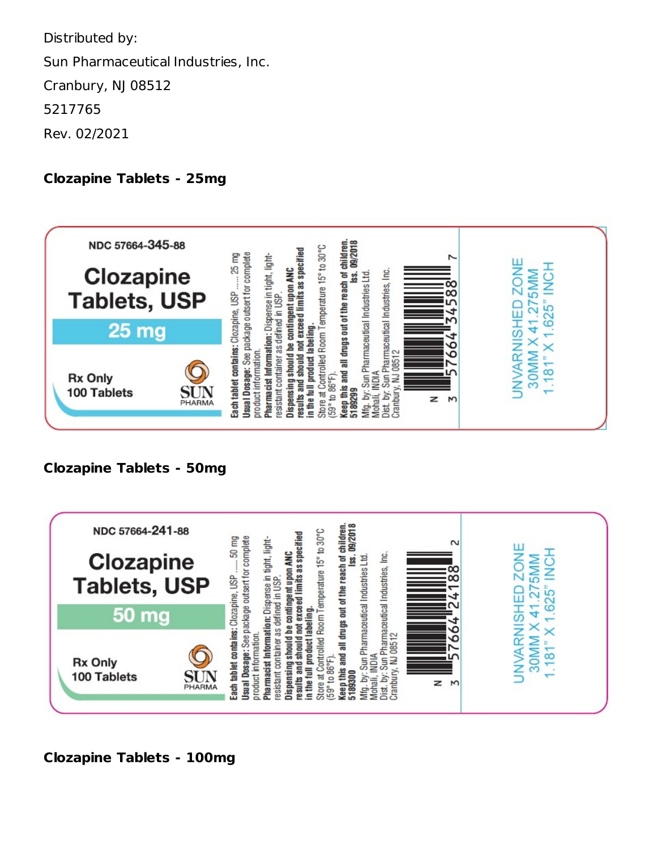Distributed by: Sun Pharmaceutical Industries, Inc. Cranbury, NJ 08512 5217765 Rev. 02/2021

#### **Clozapine Tablets - 25mg**



### **Clozapine Tablets - 50mg**



**Clozapine Tablets - 100mg**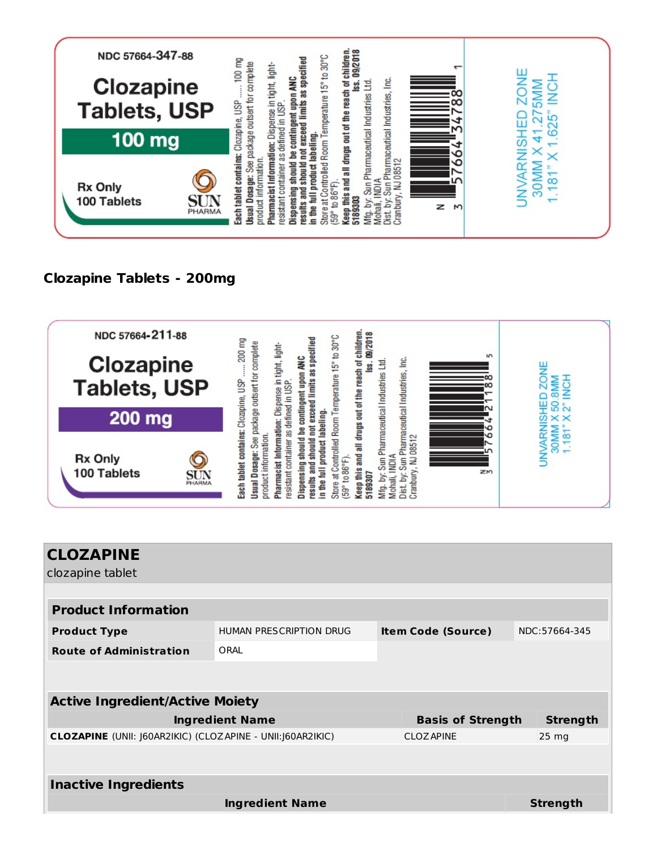

## **Clozapine Tablets - 200mg**



| <b>CLOZAPINE</b>                                                   |                                |                           |                  |  |  |
|--------------------------------------------------------------------|--------------------------------|---------------------------|------------------|--|--|
| clozapine tablet                                                   |                                |                           |                  |  |  |
|                                                                    |                                |                           |                  |  |  |
| <b>Product Information</b>                                         |                                |                           |                  |  |  |
| <b>Product Type</b>                                                | <b>HUMAN PRESCRIPTION DRUG</b> | <b>Item Code (Source)</b> | NDC:57664-345    |  |  |
| <b>Route of Administration</b>                                     | ORAL                           |                           |                  |  |  |
|                                                                    |                                |                           |                  |  |  |
|                                                                    |                                |                           |                  |  |  |
| <b>Active Ingredient/Active Moiety</b>                             |                                |                           |                  |  |  |
|                                                                    | <b>Ingredient Name</b>         | <b>Basis of Strength</b>  | <b>Strength</b>  |  |  |
| <b>CLOZAPINE</b> (UNII: J60AR2IKIC) (CLOZAPINE - UNII: J60AR2IKIC) |                                | <b>CLOZAPINE</b>          | 25 <sub>mg</sub> |  |  |
|                                                                    |                                |                           |                  |  |  |
|                                                                    |                                |                           |                  |  |  |
| <b>Inactive Ingredients</b>                                        |                                |                           |                  |  |  |
|                                                                    | <b>Ingredient Name</b>         |                           | <b>Strength</b>  |  |  |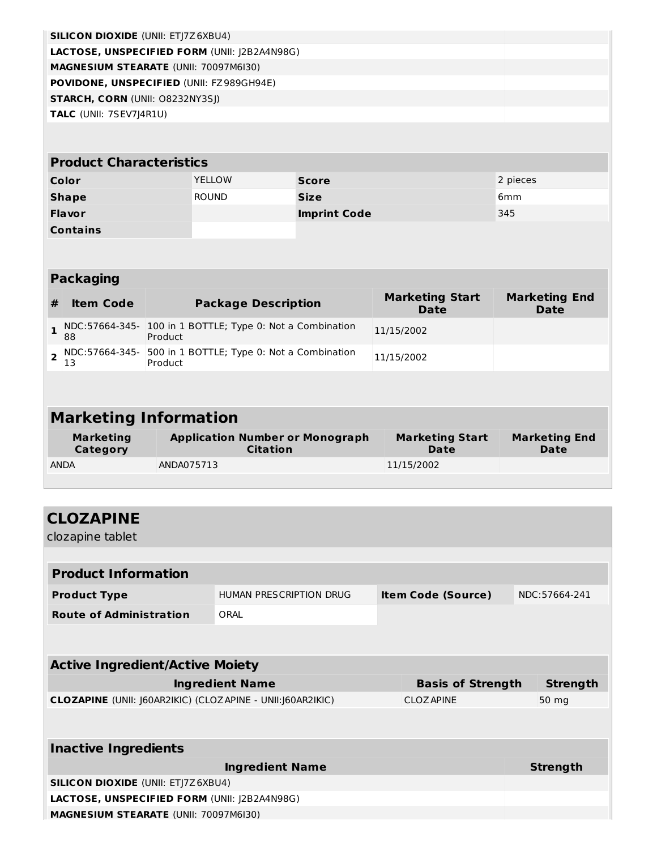| <b>SILICON DIOXIDE (UNII: ETJ7Z6XBU4)</b>           |  |
|-----------------------------------------------------|--|
| <b>LACTOSE, UNSPECIFIED FORM (UNII: 12B2A4N98G)</b> |  |
| <b>MAGNESIUM STEARATE (UNII: 70097M6I30)</b>        |  |
| <b>POVIDONE, UNSPECIFIED (UNII: FZ989GH94E)</b>     |  |
| <b>STARCH, CORN (UNII: 08232NY3SI)</b>              |  |
| <b>TALC</b> (UNII: 7SEV7J4R1U)                      |  |
|                                                     |  |

| <b>Product Characteristics</b> |               |                     |                 |  |  |
|--------------------------------|---------------|---------------------|-----------------|--|--|
| Color                          | <b>YELLOW</b> | <b>Score</b>        | 2 pieces        |  |  |
| <b>Shape</b>                   | <b>ROUND</b>  | <b>Size</b>         | 6 <sub>mm</sub> |  |  |
| <b>Flavor</b>                  |               | <b>Imprint Code</b> | 345             |  |  |
| <b>Contains</b>                |               |                     |                 |  |  |

|   | <b>Packaging</b>             |                                                                      |                                |                              |  |  |  |
|---|------------------------------|----------------------------------------------------------------------|--------------------------------|------------------------------|--|--|--|
| # | <b>Item Code</b>             | <b>Package Description</b>                                           | <b>Marketing Start</b><br>Date | <b>Marketing End</b><br>Date |  |  |  |
|   | 88                           | NDC:57664-345- 100 in 1 BOTTLE; Type 0: Not a Combination<br>Product | 11/15/2002                     |                              |  |  |  |
|   | 13                           | NDC:57664-345- 500 in 1 BOTTLE; Type 0: Not a Combination<br>Product | 11/15/2002                     |                              |  |  |  |
|   |                              |                                                                      |                                |                              |  |  |  |
|   | <b>Marketing Information</b> |                                                                      |                                |                              |  |  |  |

| <b>Marketing</b> | <b>Application Number or Monograph</b> | <b>Marketing Start</b> | <b>Marketing End</b> |
|------------------|----------------------------------------|------------------------|----------------------|
| Category         | <b>Citation</b>                        | Date                   | <b>Date</b>          |
| <b>ANDA</b>      | ANDA075713                             | 11/15/2002             |                      |

| <b>CLOZAPINE</b>                                                   |                         |  |                           |  |                 |
|--------------------------------------------------------------------|-------------------------|--|---------------------------|--|-----------------|
| clozapine tablet                                                   |                         |  |                           |  |                 |
|                                                                    |                         |  |                           |  |                 |
| <b>Product Information</b>                                         |                         |  |                           |  |                 |
| <b>Product Type</b>                                                | HUMAN PRESCRIPTION DRUG |  | <b>Item Code (Source)</b> |  | NDC:57664-241   |
| <b>Route of Administration</b>                                     | ORAL                    |  |                           |  |                 |
|                                                                    |                         |  |                           |  |                 |
|                                                                    |                         |  |                           |  |                 |
| <b>Active Ingredient/Active Moiety</b>                             |                         |  |                           |  |                 |
|                                                                    | <b>Ingredient Name</b>  |  | <b>Basis of Strength</b>  |  | <b>Strength</b> |
| <b>CLOZAPINE</b> (UNII: J60AR2IKIC) (CLOZAPINE - UNII: J60AR2IKIC) |                         |  | <b>CLOZ APINE</b>         |  | 50 mg           |
|                                                                    |                         |  |                           |  |                 |
|                                                                    |                         |  |                           |  |                 |
| <b>Inactive Ingredients</b>                                        |                         |  |                           |  |                 |
|                                                                    | <b>Ingredient Name</b>  |  |                           |  | <b>Strength</b> |
| <b>SILICON DIOXIDE (UNII: ETJ7Z6XBU4)</b>                          |                         |  |                           |  |                 |
| LACTOSE, UNSPECIFIED FORM (UNII: J2B2A4N98G)                       |                         |  |                           |  |                 |
| <b>MAGNESIUM STEARATE (UNII: 70097M6I30)</b>                       |                         |  |                           |  |                 |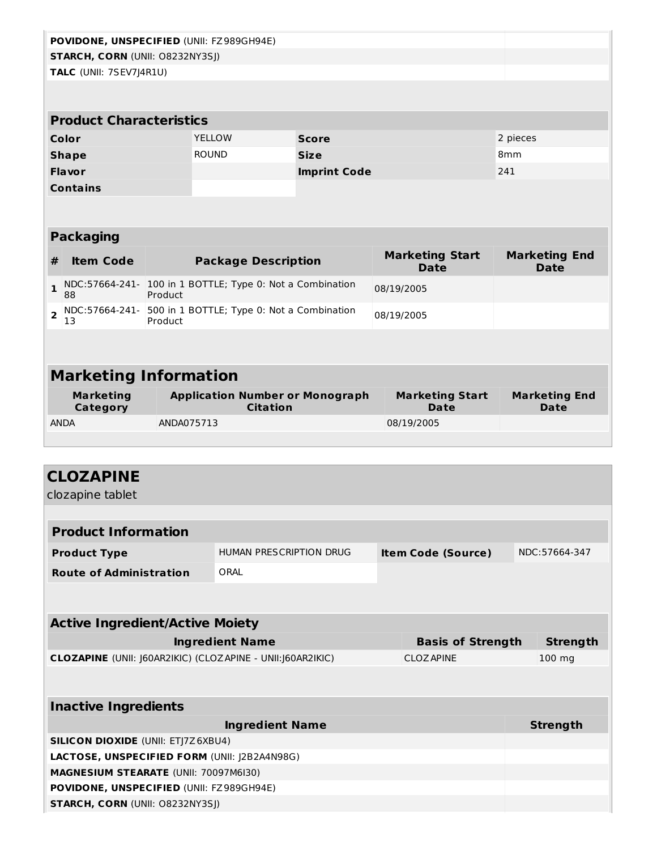|                |                                        |            | POVIDONE, UNSPECIFIED (UNII: FZ989GH94E)                  |                     |  |                                       |                                     |
|----------------|----------------------------------------|------------|-----------------------------------------------------------|---------------------|--|---------------------------------------|-------------------------------------|
|                | <b>STARCH, CORN (UNII: O8232NY3SJ)</b> |            |                                                           |                     |  |                                       |                                     |
|                | TALC (UNII: 7SEV7J4R1U)                |            |                                                           |                     |  |                                       |                                     |
|                |                                        |            |                                                           |                     |  |                                       |                                     |
|                |                                        |            |                                                           |                     |  |                                       |                                     |
|                | <b>Product Characteristics</b>         |            |                                                           |                     |  |                                       |                                     |
|                | Color                                  |            | <b>YELLOW</b>                                             | <b>Score</b>        |  |                                       | 2 pieces                            |
|                | <b>Shape</b>                           |            | <b>ROUND</b>                                              | <b>Size</b>         |  |                                       | 8 <sub>mm</sub>                     |
|                | Flavor                                 |            |                                                           | <b>Imprint Code</b> |  |                                       | 241                                 |
|                | <b>Contains</b>                        |            |                                                           |                     |  |                                       |                                     |
|                |                                        |            |                                                           |                     |  |                                       |                                     |
|                |                                        |            |                                                           |                     |  |                                       |                                     |
|                | <b>Packaging</b>                       |            |                                                           |                     |  |                                       |                                     |
| #              | <b>Item Code</b>                       |            | <b>Package Description</b>                                |                     |  | <b>Marketing Start</b><br><b>Date</b> | <b>Marketing End</b><br><b>Date</b> |
| $\mathbf{1}$   | 88                                     | Product    | NDC:57664-241- 100 in 1 BOTTLE; Type 0: Not a Combination |                     |  | 08/19/2005                            |                                     |
| $\overline{2}$ | NDC:57664-241-<br>13                   | Product    | 500 in 1 BOTTLE; Type 0: Not a Combination                |                     |  | 08/19/2005                            |                                     |
|                |                                        |            |                                                           |                     |  |                                       |                                     |
|                |                                        |            |                                                           |                     |  |                                       |                                     |
|                | <b>Marketing Information</b>           |            |                                                           |                     |  |                                       |                                     |
|                | <b>Marketing</b><br>Category           |            | <b>Application Number or Monograph</b><br><b>Citation</b> |                     |  | <b>Marketing Start</b><br><b>Date</b> | <b>Marketing End</b><br><b>Date</b> |
| <b>ANDA</b>    |                                        | ANDA075713 |                                                           |                     |  | 08/19/2005                            |                                     |
|                |                                        |            |                                                           |                     |  |                                       |                                     |

| <b>CLOZAPINE</b>                                            |                                                 |                           |                 |  |  |  |
|-------------------------------------------------------------|-------------------------------------------------|---------------------------|-----------------|--|--|--|
| clozapine tablet                                            |                                                 |                           |                 |  |  |  |
|                                                             |                                                 |                           |                 |  |  |  |
| <b>Product Information</b>                                  |                                                 |                           |                 |  |  |  |
| <b>Product Type</b>                                         | HUMAN PRESCRIPTION DRUG                         | <b>Item Code (Source)</b> | NDC:57664-347   |  |  |  |
| <b>Route of Administration</b>                              | ORAL                                            |                           |                 |  |  |  |
|                                                             |                                                 |                           |                 |  |  |  |
| <b>Active Ingredient/Active Moiety</b>                      |                                                 |                           |                 |  |  |  |
|                                                             | <b>Ingredient Name</b>                          | <b>Basis of Strength</b>  | <b>Strength</b> |  |  |  |
| CLOZAPINE (UNII: J60AR2IKIC) (CLOZAPINE - UNII: J60AR2IKIC) |                                                 | <b>CLOZ APINE</b>         | 100 mg          |  |  |  |
|                                                             |                                                 |                           |                 |  |  |  |
|                                                             |                                                 |                           |                 |  |  |  |
| <b>Inactive Ingredients</b>                                 |                                                 |                           |                 |  |  |  |
|                                                             | <b>Ingredient Name</b>                          |                           | <b>Strength</b> |  |  |  |
| <b>SILICON DIOXIDE (UNII: ETJ7Z6XBU4)</b>                   |                                                 |                           |                 |  |  |  |
| <b>LACTOSE, UNSPECIFIED FORM (UNII: 12B2A4N98G)</b>         |                                                 |                           |                 |  |  |  |
| <b>MAGNESIUM STEARATE (UNII: 70097M6I30)</b>                |                                                 |                           |                 |  |  |  |
|                                                             | <b>POVIDONE, UNSPECIFIED (UNII: FZ989GH94E)</b> |                           |                 |  |  |  |
| <b>STARCH, CORN (UNII: O8232NY3SJ)</b>                      |                                                 |                           |                 |  |  |  |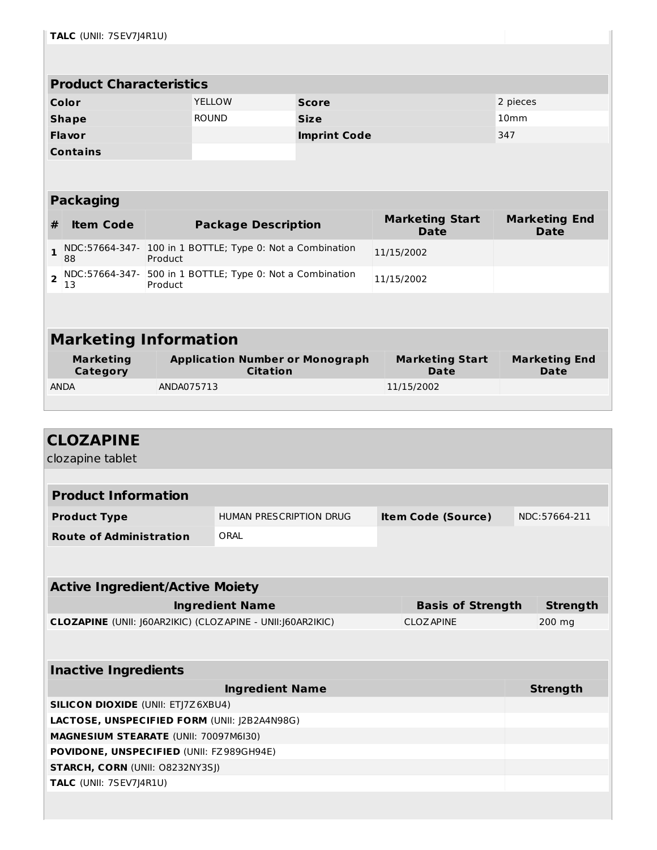| <b>Product Characteristics</b> |               |                     |                  |  |
|--------------------------------|---------------|---------------------|------------------|--|
| Color                          | <b>YELLOW</b> | <b>Score</b>        | 2 pieces         |  |
| <b>Shape</b>                   | <b>ROUND</b>  | <b>Size</b>         | 10 <sub>mm</sub> |  |
| <b>Flavor</b>                  |               | <b>Imprint Code</b> | 347              |  |
| <b>Contains</b>                |               |                     |                  |  |

#### **Packaging**

| #  | <b>Item Code</b> | <b>Package Description</b>                                                         | <b>Marketing Start</b><br><b>Date</b> | <b>Marketing End</b><br>Date |
|----|------------------|------------------------------------------------------------------------------------|---------------------------------------|------------------------------|
| 88 |                  | $\frac{1}{1}$ NDC:57664-347- 100 in 1 BOTTLE; Type 0: Not a Combination<br>Product | 11/15/2002                            |                              |
| 13 |                  | $\sim$ NDC:57664-347- 500 in 1 BOTTLE; Type 0: Not a Combination<br>Product        | 11/15/2002                            |                              |

# **Marketing Information**

| Marketing<br>Category | <b>Application Number or Monograph</b><br>Citation | <b>Marketing Start</b><br><b>Date</b> | <b>Marketing End</b><br><b>Date</b> |
|-----------------------|----------------------------------------------------|---------------------------------------|-------------------------------------|
| <b>ANDA</b>           | ANDA075713                                         | 11/15/2002                            |                                     |
|                       |                                                    |                                       |                                     |

| <b>CLOZAPINE</b>                                            |                         |                           |                 |
|-------------------------------------------------------------|-------------------------|---------------------------|-----------------|
| clozapine tablet                                            |                         |                           |                 |
|                                                             |                         |                           |                 |
| <b>Product Information</b>                                  |                         |                           |                 |
|                                                             |                         |                           |                 |
| <b>Product Type</b>                                         | HUMAN PRESCRIPTION DRUG | <b>Item Code (Source)</b> | NDC:57664-211   |
| <b>Route of Administration</b>                              | ORAL                    |                           |                 |
|                                                             |                         |                           |                 |
|                                                             |                         |                           |                 |
| <b>Active Ingredient/Active Moiety</b>                      |                         |                           |                 |
|                                                             | <b>Ingredient Name</b>  | <b>Basis of Strength</b>  | <b>Strength</b> |
| CLOZAPINE (UNII: J60AR2IKIC) (CLOZAPINE - UNII: J60AR2IKIC) |                         | <b>CLOZ APINE</b>         | 200 mg          |
|                                                             |                         |                           |                 |
|                                                             |                         |                           |                 |
| <b>Inactive Ingredients</b>                                 |                         |                           |                 |
|                                                             |                         |                           |                 |
|                                                             | <b>Ingredient Name</b>  |                           | <b>Strength</b> |
| <b>SILICON DIOXIDE (UNII: ETJ7Z6XBU4)</b>                   |                         |                           |                 |
| LACTOSE, UNSPECIFIED FORM (UNII: J2B2A4N98G)                |                         |                           |                 |
| <b>MAGNESIUM STEARATE (UNII: 70097M6I30)</b>                |                         |                           |                 |
| POVIDONE, UNSPECIFIED (UNII: FZ989GH94E)                    |                         |                           |                 |
| <b>STARCH, CORN (UNII: O8232NY3SJ)</b>                      |                         |                           |                 |
| TALC (UNII: 7SEV7J4R1U)                                     |                         |                           |                 |
|                                                             |                         |                           |                 |
|                                                             |                         |                           |                 |